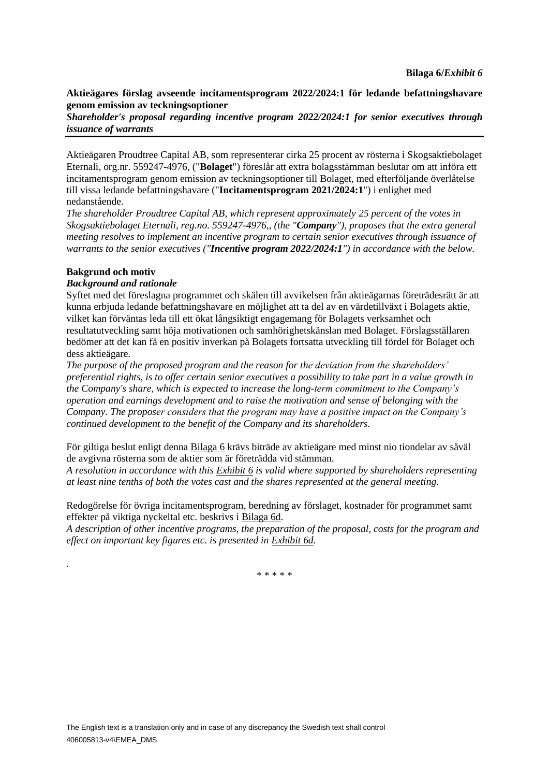#### **Aktieägares förslag avseende incitamentsprogram 2022/2024:1 för ledande befattningshavare genom emission av teckningsoptioner**

*Shareholder's proposal regarding incentive program 2022/2024:1 for senior executives through issuance of warrants*

Aktieägaren Proudtree Capital AB, som representerar cirka 25 procent av rösterna i Skogsaktiebolaget Eternali, org.nr. 559247-4976, ("**Bolaget**") föreslår att extra bolagsstämman beslutar om att införa ett incitamentsprogram genom emission av teckningsoptioner till Bolaget, med efterföljande överlåtelse till vissa ledande befattningshavare ("**Incitamentsprogram 2021/2024:1**") i enlighet med nedanstående.

*The shareholder Proudtree Capital AB, which represent approximately 25 percent of the votes in Skogsaktiebolaget Eternali, reg.no. 559247-4976,, (the "Company"), proposes that the extra general meeting resolves to implement an incentive program to certain senior executives through issuance of warrants to the senior executives ("Incentive program 2022/2024:1") in accordance with the below.*

#### **Bakgrund och motiv**

*.*

#### *Background and rationale*

Syftet med det föreslagna programmet och skälen till avvikelsen från aktieägarnas företrädesrätt är att kunna erbjuda ledande befattningshavare en möjlighet att ta del av en värdetillväxt i Bolagets aktie, vilket kan förväntas leda till ett ökat långsiktigt engagemang för Bolagets verksamhet och resultatutveckling samt höja motivationen och samhörighetskänslan med Bolaget. Förslagsställaren bedömer att det kan få en positiv inverkan på Bolagets fortsatta utveckling till fördel för Bolaget och dess aktieägare.

*The purpose of the proposed program and the reason for the deviation from the shareholders' preferential rights, is to offer certain senior executives a possibility to take part in a value growth in the Company's share, which is expected to increase the long-term commitment to the Company's operation and earnings development and to raise the motivation and sense of belonging with the Company. The proposer considers that the program may have a positive impact on the Company's continued development to the benefit of the Company and its shareholders.*

För giltiga beslut enligt denna Bilaga 6 krävs biträde av aktieägare med minst nio tiondelar av såväl de avgivna rösterna som de aktier som är företrädda vid stämman.

*A resolution in accordance with this Exhibit 6 is valid where supported by shareholders representing at least nine tenths of both the votes cast and the shares represented at the general meeting.*

Redogörelse för övriga incitamentsprogram, beredning av förslaget, kostnader för programmet samt effekter på viktiga nyckeltal etc. beskrivs i Bilaga 6d.

*A description of other incentive programs, the preparation of the proposal, costs for the program and effect on important key figures etc. is presented in Exhibit 6d.*

\* \* \* \* \*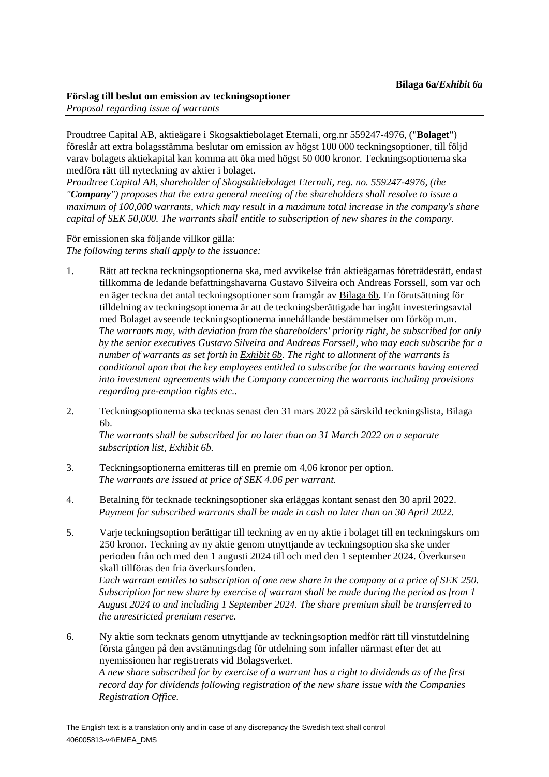Proudtree Capital AB, aktieägare i Skogsaktiebolaget Eternali, org.nr 559247-4976, ("**Bolaget**") föreslår att extra bolagsstämma beslutar om emission av högst 100 000 teckningsoptioner, till följd varav bolagets aktiekapital kan komma att öka med högst 50 000 kronor. Teckningsoptionerna ska medföra rätt till nyteckning av aktier i bolaget.

*Proudtree Capital AB, shareholder of Skogsaktiebolaget Eternali, reg. no. 559247-4976, (the "Company") proposes that the extra general meeting of the shareholders shall resolve to issue a maximum of 100,000 warrants, which may result in a maximum total increase in the company's share capital of SEK 50,000. The warrants shall entitle to subscription of new shares in the company.*

För emissionen ska följande villkor gälla: *The following terms shall apply to the issuance:*

- 1. Rätt att teckna teckningsoptionerna ska, med avvikelse från aktieägarnas företrädesrätt, endast tillkomma de ledande befattningshavarna Gustavo Silveira och Andreas Forssell, som var och en äger teckna det antal teckningsoptioner som framgår av Bilaga 6b. En förutsättning för tilldelning av teckningsoptionerna är att de teckningsberättigade har ingått investeringsavtal med Bolaget avseende teckningsoptionerna innehållande bestämmelser om förköp m.m. *The warrants may, with deviation from the shareholders' priority right, be subscribed for only by the senior executives Gustavo Silveira and Andreas Forssell, who may each subscribe for a number of warrants as set forth in Exhibit 6b. The right to allotment of the warrants is conditional upon that the key employees entitled to subscribe for the warrants having entered into investment agreements with the Company concerning the warrants including provisions regarding pre-emption rights etc..*
- 2. Teckningsoptionerna ska tecknas senast den 31 mars 2022 på särskild teckningslista, Bilaga 6b.

*The warrants shall be subscribed for no later than on 31 March 2022 on a separate subscription list, Exhibit 6b.*

- 3. Teckningsoptionerna emitteras till en premie om 4,06 kronor per option. *The warrants are issued at price of SEK 4.06 per warrant.*
- 4. Betalning för tecknade teckningsoptioner ska erläggas kontant senast den 30 april 2022. *Payment for subscribed warrants shall be made in cash no later than on 30 April 2022.*
- 5. Varje teckningsoption berättigar till teckning av en ny aktie i bolaget till en teckningskurs om 250 kronor. Teckning av ny aktie genom utnyttjande av teckningsoption ska ske under perioden från och med den 1 augusti 2024 till och med den 1 september 2024. Överkursen skall tillföras den fria överkursfonden.

*Each warrant entitles to subscription of one new share in the company at a price of SEK 250. Subscription for new share by exercise of warrant shall be made during the period as from 1 August 2024 to and including 1 September 2024. The share premium shall be transferred to the unrestricted premium reserve.*

6. Ny aktie som tecknats genom utnyttjande av teckningsoption medför rätt till vinstutdelning första gången på den avstämningsdag för utdelning som infaller närmast efter det att nyemissionen har registrerats vid Bolagsverket. *A new share subscribed for by exercise of a warrant has a right to dividends as of the first record day for dividends following registration of the new share issue with the Companies Registration Office.*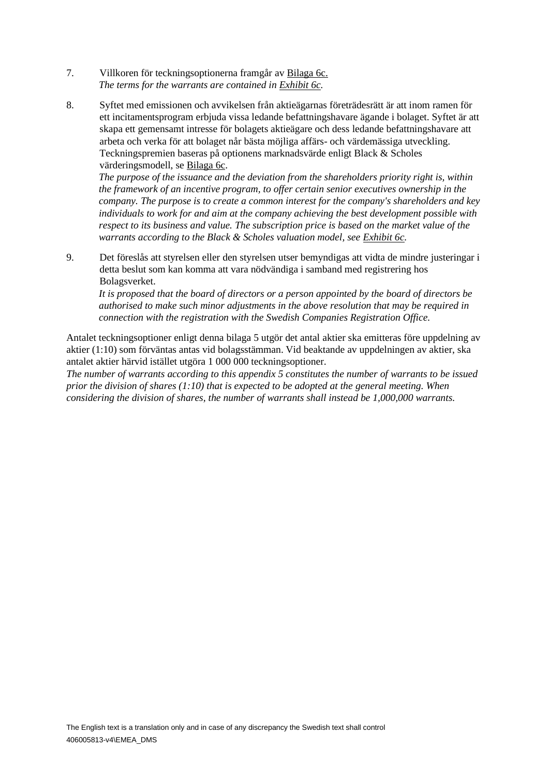- 7. Villkoren för teckningsoptionerna framgår av Bilaga 6c. *The terms for the warrants are contained in Exhibit 6c.*
- 8. Syftet med emissionen och avvikelsen från aktieägarnas företrädesrätt är att inom ramen för ett incitamentsprogram erbjuda vissa ledande befattningshavare ägande i bolaget. Syftet är att skapa ett gemensamt intresse för bolagets aktieägare och dess ledande befattningshavare att arbeta och verka för att bolaget når bästa möjliga affärs- och värdemässiga utveckling. Teckningspremien baseras på optionens marknadsvärde enligt Black & Scholes värderingsmodell, se Bilaga 6c.

*The purpose of the issuance and the deviation from the shareholders priority right is, within the framework of an incentive program, to offer certain senior executives ownership in the company. The purpose is to create a common interest for the company's shareholders and key individuals to work for and aim at the company achieving the best development possible with respect to its business and value. The subscription price is based on the market value of the warrants according to the Black & Scholes valuation model, see Exhibit 6c.*

9. Det föreslås att styrelsen eller den styrelsen utser bemyndigas att vidta de mindre justeringar i detta beslut som kan komma att vara nödvändiga i samband med registrering hos Bolagsverket.

*It is proposed that the board of directors or a person appointed by the board of directors be authorised to make such minor adjustments in the above resolution that may be required in connection with the registration with the Swedish Companies Registration Office.*

Antalet teckningsoptioner enligt denna bilaga 5 utgör det antal aktier ska emitteras före uppdelning av aktier (1:10) som förväntas antas vid bolagsstämman. Vid beaktande av uppdelningen av aktier, ska antalet aktier härvid istället utgöra 1 000 000 teckningsoptioner.

*The number of warrants according to this appendix 5 constitutes the number of warrants to be issued prior the division of shares (1:10) that is expected to be adopted at the general meeting. When considering the division of shares, the number of warrants shall instead be 1,000,000 warrants.*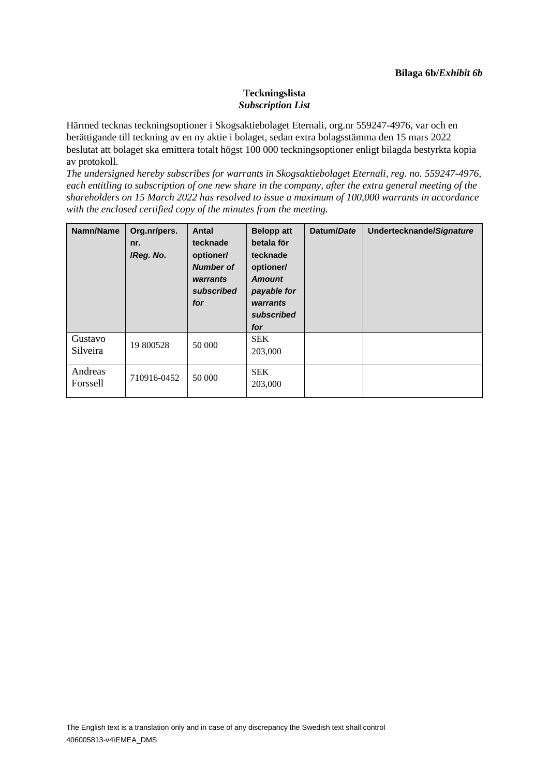## **Teckningslista** *Subscription List*

Härmed tecknas teckningsoptioner i Skogsaktiebolaget Eternali, org.nr 559247-4976, var och en berättigande till teckning av en ny aktie i bolaget, sedan extra bolagsstämma den 15 mars 2022 beslutat att bolaget ska emittera totalt högst 100 000 teckningsoptioner enligt bilagda bestyrkta kopia av protokoll.

*The undersigned hereby subscribes for warrants in Skogsaktiebolaget Eternali, reg. no. 559247-4976, each entitling to subscription of one new share in the company, after the extra general meeting of the shareholders on 15 March 2022 has resolved to issue a maximum of 100,000 warrants in accordance with the enclosed certified copy of the minutes from the meeting.* 

| Namn/Name           | Org.nr/pers.<br>nr.<br>/Reg. No. | Antal<br>tecknade<br>optioner/<br><b>Number of</b><br>warrants<br>subscribed<br>for | <b>Belopp att</b><br>betala för<br>tecknade<br>optioner/<br><b>Amount</b><br>payable for<br>warrants<br>subscribed<br>for | Datum/Date | Undertecknande/Signature |
|---------------------|----------------------------------|-------------------------------------------------------------------------------------|---------------------------------------------------------------------------------------------------------------------------|------------|--------------------------|
| Gustavo<br>Silveira | 19 800528                        | 50 000                                                                              | <b>SEK</b><br>203,000                                                                                                     |            |                          |
| Andreas<br>Forssell | 710916-0452                      | 50 000                                                                              | <b>SEK</b><br>203,000                                                                                                     |            |                          |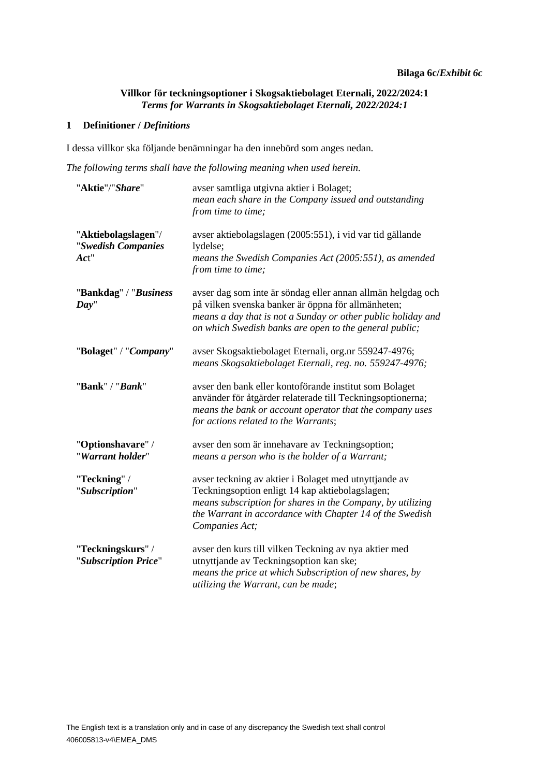## **Villkor för teckningsoptioner i Skogsaktiebolaget Eternali, 2022/2024:1** *Terms for Warrants in Skogsaktiebolaget Eternali, 2022/2024:1*

#### **1 Definitioner /** *Definitions*

I dessa villkor ska följande benämningar ha den innebörd som anges nedan.

*The following terms shall have the following meaning when used herein.*

| "Aktie"/"Share"                                   | avser samtliga utgivna aktier i Bolaget;<br>mean each share in the Company issued and outstanding<br>from time to time;                                                                                                                              |
|---------------------------------------------------|------------------------------------------------------------------------------------------------------------------------------------------------------------------------------------------------------------------------------------------------------|
| "Aktiebolagslagen"/<br>"Swedish Companies<br>Act" | avser aktiebolagslagen (2005:551), i vid var tid gällande<br>lydelse;<br>means the Swedish Companies Act (2005:551), as amended<br>from time to time;                                                                                                |
| "Bankdag" / "Business<br>Day"                     | avser dag som inte är söndag eller annan allmän helgdag och<br>på vilken svenska banker är öppna för allmänheten;<br>means a day that is not a Sunday or other public holiday and<br>on which Swedish banks are open to the general public;          |
| "Bolaget" / "Company"                             | avser Skogsaktiebolaget Eternali, org.nr 559247-4976;<br>means Skogsaktiebolaget Eternali, reg. no. 559247-4976;                                                                                                                                     |
| "Bank" / "Bank"                                   | avser den bank eller kontoförande institut som Bolaget<br>använder för åtgärder relaterade till Teckningsoptionerna;<br>means the bank or account operator that the company uses<br>for actions related to the Warrants;                             |
| "Optionshavare" /<br>"Warrant holder"             | avser den som är innehavare av Teckningsoption;<br>means a person who is the holder of a Warrant;                                                                                                                                                    |
| "Teckning" /<br>"Subscription"                    | avser teckning av aktier i Bolaget med utnyttjande av<br>Teckningsoption enligt 14 kap aktiebolagslagen;<br>means subscription for shares in the Company, by utilizing<br>the Warrant in accordance with Chapter 14 of the Swedish<br>Companies Act; |
| "Teckningskurs" /<br>"Subscription Price"         | avser den kurs till vilken Teckning av nya aktier med<br>utnyttjande av Teckningsoption kan ske;<br>means the price at which Subscription of new shares, by<br>utilizing the Warrant, can be made;                                                   |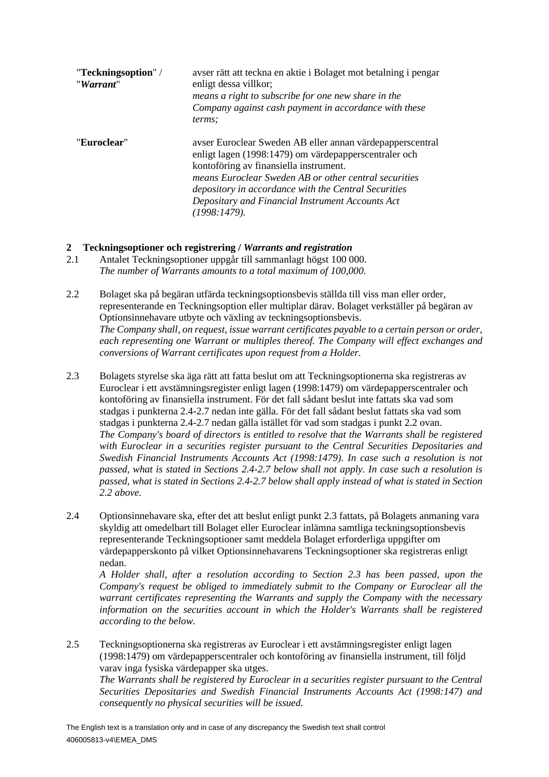| "Teckningsoption" /<br>"Warrant" | avser rätt att teckna en aktie i Bolaget mot betalning i pengar<br>enligt dessa villkor;<br>means a right to subscribe for one new share in the<br>Company against cash payment in accordance with these<br>terms:                                                                                                                                |
|----------------------------------|---------------------------------------------------------------------------------------------------------------------------------------------------------------------------------------------------------------------------------------------------------------------------------------------------------------------------------------------------|
| "Euroclear"                      | avser Euroclear Sweden AB eller annan värdepapperscentral<br>enligt lagen (1998:1479) om värdepapperscentraler och<br>kontoföring av finansiella instrument.<br>means Euroclear Sweden AB or other central securities<br>depository in accordance with the Central Securities<br>Depositary and Financial Instrument Accounts Act<br>(1998:1479). |

## **2 Teckningsoptioner och registrering /** *Warrants and registration*

- 2.1 Antalet Teckningsoptioner uppgår till sammanlagt högst 100 000. *The number of Warrants amounts to a total maximum of 100,000.*
- <span id="page-5-1"></span>2.2 Bolaget ska på begäran utfärda teckningsoptionsbevis ställda till viss man eller order, representerande en Teckningsoption eller multiplar därav. Bolaget verkställer på begäran av Optionsinnehavare utbyte och växling av teckningsoptionsbevis. *The Company shall, on request, issue warrant certificates payable to a certain person or order, each representing one Warrant or multiples thereof. The Company will effect exchanges and conversions of Warrant certificates upon request from a Holder.*
- <span id="page-5-2"></span>2.3 Bolagets styrelse ska äga rätt att fatta beslut om att Teckningsoptionerna ska registreras av Euroclear i ett avstämningsregister enligt lagen (1998:1479) om värdepapperscentraler och kontoföring av finansiella instrument. För det fall sådant beslut inte fattats ska vad som stadgas i punktern[a 2.4-](#page-5-0)[2.7](#page-6-0) nedan inte gälla. För det fall sådant beslut fattats ska vad som stadgas i punktern[a 2.4-](#page-5-0)[2.7](#page-6-0) nedan gälla istället för vad som stadgas i punkt [2.2](#page-5-1) ovan. *The Company's board of directors is entitled to resolve that the Warrants shall be registered with Euroclear in a securities register pursuant to the Central Securities Depositaries and Swedish Financial Instruments Accounts Act (1998:1479). In case such a resolution is not passed, what is stated in Sections [2.4](#page-5-0)[-2.7](#page-6-0) below shall not apply. In case such a resolution is passed, what is stated in Sections [2.4](#page-5-0)[-2.7](#page-6-0) below shall apply instead of what is stated in Section [2.2](#page-5-1) above.*
- <span id="page-5-0"></span>2.4 Optionsinnehavare ska, efter det att beslut enligt punkt [2.3](#page-5-2) fattats, på Bolagets anmaning vara skyldig att omedelbart till Bolaget eller Euroclear inlämna samtliga teckningsoptionsbevis representerande Teckningsoptioner samt meddela Bolaget erforderliga uppgifter om värdepapperskonto på vilket Optionsinnehavarens Teckningsoptioner ska registreras enligt nedan.

*A Holder shall, after a resolution according to Section [2.3](#page-5-2) has been passed, upon the Company's request be obliged to immediately submit to the Company or Euroclear all the warrant certificates representing the Warrants and supply the Company with the necessary information on the securities account in which the Holder's Warrants shall be registered according to the below.*

2.5 Teckningsoptionerna ska registreras av Euroclear i ett avstämningsregister enligt lagen (1998:1479) om värdepapperscentraler och kontoföring av finansiella instrument, till följd varav inga fysiska värdepapper ska utges.

*The Warrants shall be registered by Euroclear in a securities register pursuant to the Central Securities Depositaries and Swedish Financial Instruments Accounts Act (1998:147) and consequently no physical securities will be issued.*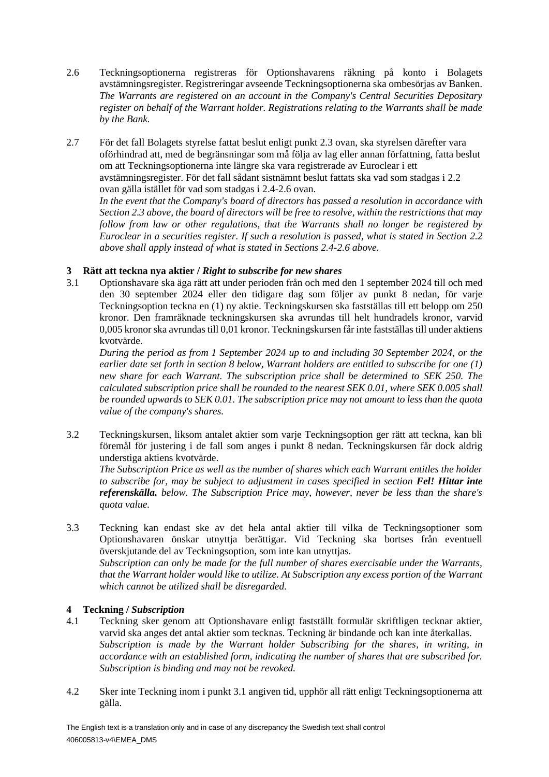- <span id="page-6-1"></span>2.6 Teckningsoptionerna registreras för Optionshavarens räkning på konto i Bolagets avstämningsregister. Registreringar avseende Teckningsoptionerna ska ombesörjas av Banken. *The Warrants are registered on an account in the Company's Central Securities Depositary register on behalf of the Warrant holder. Registrations relating to the Warrants shall be made by the Bank.*
- <span id="page-6-0"></span>2.7 För det fall Bolagets styrelse fattat beslut enligt punkt [2.3](#page-5-2) ovan, ska styrelsen därefter vara oförhindrad att, med de begränsningar som må följa av lag eller annan författning, fatta beslut om att Teckningsoptionerna inte längre ska vara registrerade av Euroclear i ett avstämningsregister. För det fall sådant sistnämnt beslut fattats ska vad som stadgas i [2.2](#page-5-1) ovan gälla istället för vad som stadgas i [2.4-](#page-5-0)[2.6](#page-6-1) ovan. *In the event that the Company's board of directors has passed a resolution in accordance with*

*Section [2.3](#page-5-2) above, the board of directors will be free to resolve, within the restrictions that may follow from law or other regulations, that the Warrants shall no longer be registered by Euroclear in a securities register. If such a resolution is passed, what is stated in Section [2.2](#page-5-1) above shall apply instead of what is stated in Sections [2.4](#page-5-0)[-2.6](#page-6-1) above.*

## **3 Rätt att teckna nya aktier /** *Right to subscribe for new shares*

<span id="page-6-2"></span>3.1 Optionshavare ska äga rätt att under perioden från och med den 1 september 2024 till och med den 30 september 2024 eller den tidigare dag som följer av punkt [8](#page-7-0) nedan, för varje Teckningsoption teckna en (1) ny aktie. Teckningskursen ska fastställas till ett belopp om 250 kronor. Den framräknade teckningskursen ska avrundas till helt hundradels kronor, varvid 0,005 kronor ska avrundas till 0,01 kronor. Teckningskursen får inte fastställas till under aktiens kvotvärde.

*During the period as from 1 September 2024 up to and including 30 September 2024, or the earlier date set forth in section [8](#page-7-0) below, Warrant holders are entitled to subscribe for one (1) new share for each Warrant. The subscription price shall be determined to SEK 250. The calculated subscription price shall be rounded to the nearest SEK 0.01, where SEK 0.005 shall be rounded upwards to SEK 0.01. The subscription price may not amount to less than the quota value of the company's shares.*

3.2 Teckningskursen, liksom antalet aktier som varje Teckningsoption ger rätt att teckna, kan bli föremål för justering i de fall som anges i punkt [8](#page-7-0) nedan. Teckningskursen får dock aldrig understiga aktiens kvotvärde.

*The Subscription Price as well as the number of shares which each Warrant entitles the holder to subscribe for, may be subject to adjustment in cases specified in section Fel! Hittar inte referenskälla. below. The Subscription Price may, however, never be less than the share's quota value.*

3.3 Teckning kan endast ske av det hela antal aktier till vilka de Teckningsoptioner som Optionshavaren önskar utnyttja berättigar. Vid Teckning ska bortses från eventuell överskjutande del av Teckningsoption, som inte kan utnyttjas. *Subscription can only be made for the full number of shares exercisable under the Warrants, that the Warrant holder would like to utilize. At Subscription any excess portion of the Warrant which cannot be utilized shall be disregarded.*

# **4 Teckning /** *Subscription*

- 4.1 Teckning sker genom att Optionshavare enligt fastställt formulär skriftligen tecknar aktier, varvid ska anges det antal aktier som tecknas. Teckning är bindande och kan inte återkallas. *Subscription is made by the Warrant holder Subscribing for the shares, in writing, in accordance with an established form, indicating the number of shares that are subscribed for. Subscription is binding and may not be revoked.*
- 4.2 Sker inte Teckning inom i punkt [3.1](#page-6-2) angiven tid, upphör all rätt enligt Teckningsoptionerna att gälla.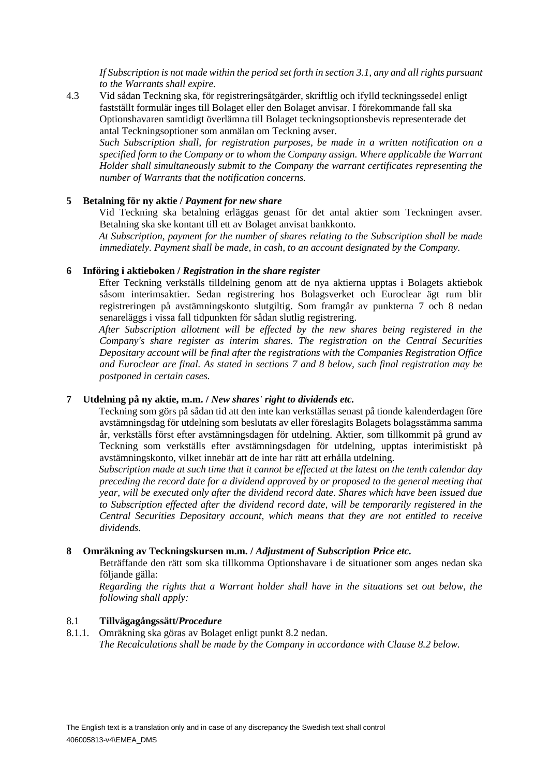*If Subscription is not made within the period set forth in sectio[n 3.1,](#page-6-2) any and all rights pursuant to the Warrants shall expire.*

4.3 Vid sådan Teckning ska, för registreringsåtgärder, skriftlig och ifylld teckningssedel enligt fastställt formulär inges till Bolaget eller den Bolaget anvisar. I förekommande fall ska Optionshavaren samtidigt överlämna till Bolaget teckningsoptionsbevis representerade det antal Teckningsoptioner som anmälan om Teckning avser.

*Such Subscription shall, for registration purposes, be made in a written notification on a specified form to the Company or to whom the Company assign. Where applicable the Warrant Holder shall simultaneously submit to the Company the warrant certificates representing the number of Warrants that the notification concerns.*

#### **5 Betalning för ny aktie /** *Payment for new share*

Vid Teckning ska betalning erläggas genast för det antal aktier som Teckningen avser. Betalning ska ske kontant till ett av Bolaget anvisat bankkonto.

*At Subscription, payment for the number of shares relating to the Subscription shall be made immediately. Payment shall be made, in cash, to an account designated by the Company.*

#### **6 Införing i aktieboken /** *Registration in the share register*

Efter Teckning verkställs tilldelning genom att de nya aktierna upptas i Bolagets aktiebok såsom interimsaktier. Sedan registrering hos Bolagsverket och Euroclear ägt rum blir registreringen på avstämningskonto slutgiltig. Som framgår av punkterna [7](#page-7-1) och [8](#page-7-0) nedan senareläggs i vissa fall tidpunkten för sådan slutlig registrering.

*After Subscription allotment will be effected by the new shares being registered in the Company's share register as interim shares. The registration on the Central Securities Depositary account will be final after the registrations with the Companies Registration Office and Euroclear are final. As stated in sections [7](#page-7-1) and [8](#page-7-0) below, such final registration may be postponed in certain cases.*

#### <span id="page-7-1"></span>**7 Utdelning på ny aktie, m.m. /** *New shares' right to dividends etc.*

Teckning som görs på sådan tid att den inte kan verkställas senast på tionde kalenderdagen före avstämningsdag för utdelning som beslutats av eller föreslagits Bolagets bolagsstämma samma år, verkställs först efter avstämningsdagen för utdelning. Aktier, som tillkommit på grund av Teckning som verkställs efter avstämningsdagen för utdelning, upptas interimistiskt på avstämningskonto, vilket innebär att de inte har rätt att erhålla utdelning.

*Subscription made at such time that it cannot be effected at the latest on the tenth calendar day preceding the record date for a dividend approved by or proposed to the general meeting that year, will be executed only after the dividend record date. Shares which have been issued due to Subscription effected after the dividend record date, will be temporarily registered in the Central Securities Depositary account, which means that they are not entitled to receive dividends.*

#### <span id="page-7-0"></span>**8 Omräkning av Teckningskursen m.m. /** *Adjustment of Subscription Price etc.*

Beträffande den rätt som ska tillkomma Optionshavare i de situationer som anges nedan ska följande gälla:

*Regarding the rights that a Warrant holder shall have in the situations set out below, the following shall apply:*

#### 8.1 **Tillvägagångssätt/***Procedure*

8.1.1. Omräkning ska göras av Bolaget enligt punkt [8.2](#page-9-0) nedan. *The Recalculations shall be made by the Company in accordance with Clause [8.2](#page-9-0) below.*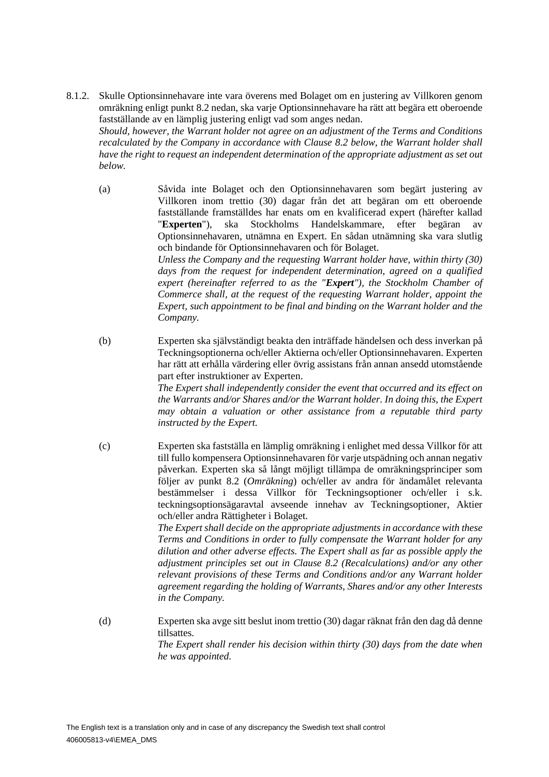8.1.2. Skulle Optionsinnehavare inte vara överens med Bolaget om en justering av Villkoren genom omräkning enligt punkt [8.2](#page-9-0) nedan, ska varje Optionsinnehavare ha rätt att begära ett oberoende fastställande av en lämplig justering enligt vad som anges nedan. *Should, however, the Warrant holder not agree on an adjustment of the Terms and Conditions* 

*recalculated by the Company in accordance with Clause [8.2](#page-9-0) below, the Warrant holder shall have the right to request an independent determination of the appropriate adjustment as set out below.*

- (a) Såvida inte Bolaget och den Optionsinnehavaren som begärt justering av Villkoren inom trettio (30) dagar från det att begäran om ett oberoende fastställande framställdes har enats om en kvalificerad expert (härefter kallad "**Experten**"), ska Stockholms Handelskammare, efter begäran av Optionsinnehavaren, utnämna en Expert. En sådan utnämning ska vara slutlig och bindande för Optionsinnehavaren och för Bolaget. *Unless the Company and the requesting Warrant holder have, within thirty (30) days from the request for independent determination, agreed on a qualified expert (hereinafter referred to as the "Expert"), the Stockholm Chamber of Commerce shall, at the request of the requesting Warrant holder, appoint the Expert, such appointment to be final and binding on the Warrant holder and the Company.*
- (b) Experten ska självständigt beakta den inträffade händelsen och dess inverkan på Teckningsoptionerna och/eller Aktierna och/eller Optionsinnehavaren. Experten har rätt att erhålla värdering eller övrig assistans från annan ansedd utomstående part efter instruktioner av Experten. *The Expert shall independently consider the event that occurred and its effect on the Warrants and/or Shares and/or the Warrant holder. In doing this, the Expert*

*may obtain a valuation or other assistance from a reputable third party instructed by the Expert.*

(c) Experten ska fastställa en lämplig omräkning i enlighet med dessa Villkor för att till fullo kompensera Optionsinnehavaren för varje utspädning och annan negativ påverkan. Experten ska så långt möjligt tillämpa de omräkningsprinciper som följer av punkt [8.2](#page-9-0) (*Omräkning*) och/eller av andra för ändamålet relevanta bestämmelser i dessa Villkor för Teckningsoptioner och/eller i s.k. teckningsoptionsägaravtal avseende innehav av Teckningsoptioner, Aktier och/eller andra Rättigheter i Bolaget. *The Expert shall decide on the appropriate adjustments in accordance with these* 

*Terms and Conditions in order to fully compensate the Warrant holder for any dilution and other adverse effects. The Expert shall as far as possible apply the adjustment principles set out in Clause [8.2](#page-9-0) (Recalculations) and/or any other relevant provisions of these Terms and Conditions and/or any Warrant holder agreement regarding the holding of Warrants, Shares and/or any other Interests in the Company.*

(d) Experten ska avge sitt beslut inom trettio (30) dagar räknat från den dag då denne tillsattes. *The Expert shall render his decision within thirty (30) days from the date when he was appointed.*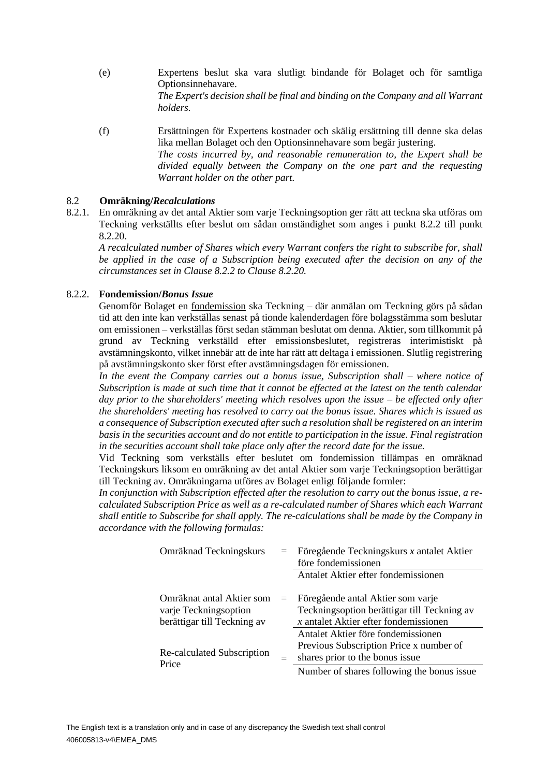- (e) Expertens beslut ska vara slutligt bindande för Bolaget och för samtliga Optionsinnehavare. *The Expert's decision shall be final and binding on the Company and all Warrant holders.*
- (f) Ersättningen för Expertens kostnader och skälig ersättning till denne ska delas lika mellan Bolaget och den Optionsinnehavare som begär justering. *The costs incurred by, and reasonable remuneration to, the Expert shall be divided equally between the Company on the one part and the requesting Warrant holder on the other part.*

## <span id="page-9-0"></span>8.2 **Omräkning/***Recalculations*

8.2.1. En omräkning av det antal Aktier som varje Teckningsoption ger rätt att teckna ska utföras om Teckning verkställts efter beslut om sådan omständighet som anges i punkt [8.2.2](#page-9-1) till punkt [8.2.20.](#page-24-0)

*A recalculated number of Shares which every Warrant confers the right to subscribe for, shall be applied in the case of a Subscription being executed after the decision on any of the circumstances set in Clause [8.2.2](#page-9-1) to Clause [8.2.20.](#page-24-0)* 

## <span id="page-9-1"></span>8.2.2. **Fondemission/***Bonus Issue*

Genomför Bolaget en fondemission ska Teckning – där anmälan om Teckning görs på sådan tid att den inte kan verkställas senast på tionde kalenderdagen före bolagsstämma som beslutar om emissionen – verkställas först sedan stämman beslutat om denna. Aktier, som tillkommit på grund av Teckning verkställd efter emissionsbeslutet, registreras interimistiskt på avstämningskonto, vilket innebär att de inte har rätt att deltaga i emissionen. Slutlig registrering på avstämningskonto sker först efter avstämningsdagen för emissionen.

*In the event the Company carries out a bonus issue, Subscription shall – where notice of Subscription is made at such time that it cannot be effected at the latest on the tenth calendar day prior to the shareholders' meeting which resolves upon the issue – be effected only after the shareholders' meeting has resolved to carry out the bonus issue. Shares which is issued as a consequence of Subscription executed after such a resolution shall be registered on an interim basis in the securities account and do not entitle to participation in the issue. Final registration in the securities account shall take place only after the record date for the issue.*

Vid Teckning som verkställs efter beslutet om fondemission tillämpas en omräknad Teckningskurs liksom en omräkning av det antal Aktier som varje Teckningsoption berättigar till Teckning av. Omräkningarna utföres av Bolaget enligt följande formler:

*In conjunction with Subscription effected after the resolution to carry out the bonus issue, a recalculated Subscription Price as well as a re-calculated number of Shares which each Warrant shall entitle to Subscribe for shall apply. The re-calculations shall be made by the Company in accordance with the following formulas:*

| Omräknad Teckningskurs                             | $=$ | Föregående Teckningskurs x antalet Aktier<br>före fondemissionen                 |
|----------------------------------------------------|-----|----------------------------------------------------------------------------------|
|                                                    |     | Antalet Aktier efter fondemissionen                                              |
| Omräknat antal Aktier som<br>varje Teckningsoption | $=$ | Föregående antal Aktier som varje<br>Teckningsoption berättigar till Teckning av |
| berättigar till Teckning av                        |     | $x$ antalet Aktier efter fondemissionen<br>Antalet Aktier före fondemissionen    |
| Re-calculated Subscription<br>Price                |     | Previous Subscription Price x number of<br>shares prior to the bonus issue       |
|                                                    |     | Number of shares following the bonus issue.                                      |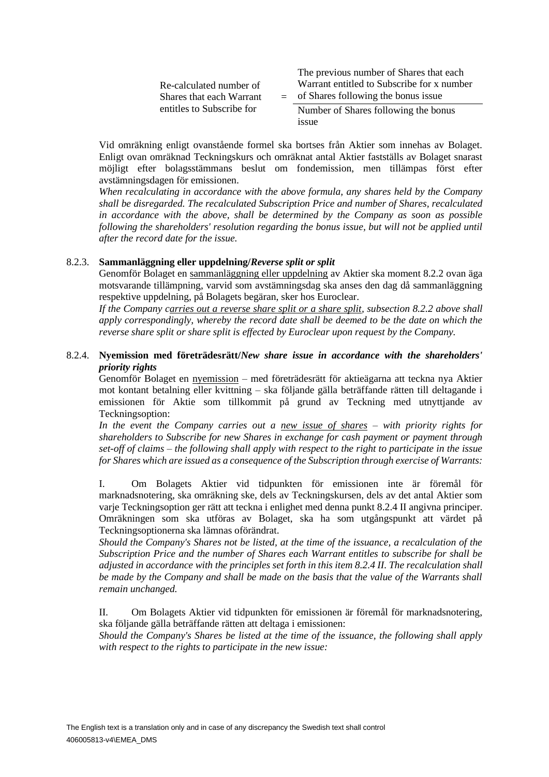|                                                     |  | The previous number of Shares that each    |
|-----------------------------------------------------|--|--------------------------------------------|
| Re-calculated number of<br>Shares that each Warrant |  | Warrant entitled to Subscribe for x number |
|                                                     |  | $=$ of Shares following the bonus issue    |
| entitles to Subscribe for                           |  | Number of Shares following the bonus       |
|                                                     |  | 1SSue                                      |

Vid omräkning enligt ovanstående formel ska bortses från Aktier som innehas av Bolaget. Enligt ovan omräknad Teckningskurs och omräknat antal Aktier fastställs av Bolaget snarast möjligt efter bolagsstämmans beslut om fondemission, men tillämpas först efter avstämningsdagen för emissionen.

*When recalculating in accordance with the above formula, any shares held by the Company shall be disregarded. The recalculated Subscription Price and number of Shares, recalculated in accordance with the above, shall be determined by the Company as soon as possible following the shareholders' resolution regarding the bonus issue, but will not be applied until after the record date for the issue.*

#### 8.2.3. **Sammanläggning eller uppdelning/***Reverse split or split*

Genomför Bolaget en sammanläggning eller uppdelning av Aktier ska moment [8.2.2](#page-9-1) ovan äga motsvarande tillämpning, varvid som avstämningsdag ska anses den dag då sammanläggning respektive uppdelning, på Bolagets begäran, sker hos Euroclear.

*If the Company carries out a reverse share split or a share split, subsection [8.2.2](#page-9-1) above shall apply correspondingly, whereby the record date shall be deemed to be the date on which the reverse share split or share split is effected by Euroclear upon request by the Company.*

#### <span id="page-10-0"></span>8.2.4. **Nyemission med företrädesrätt/***New share issue in accordance with the shareholders' priority rights*

Genomför Bolaget en nyemission – med företrädesrätt för aktieägarna att teckna nya Aktier mot kontant betalning eller kvittning – ska följande gälla beträffande rätten till deltagande i emissionen för Aktie som tillkommit på grund av Teckning med utnyttjande av Teckningsoption:

*In the event the Company carries out a new issue of shares – with priority rights for shareholders to Subscribe for new Shares in exchange for cash payment or payment through set-off of claims – the following shall apply with respect to the right to participate in the issue for Shares which are issued as a consequence of the Subscription through exercise of Warrants:*

I. Om Bolagets Aktier vid tidpunkten för emissionen inte är föremål för marknadsnotering, ska omräkning ske, dels av Teckningskursen, dels av det antal Aktier som varje Teckningsoption ger rätt att teckna i enlighet med denna punkt [8.2.4](#page-10-0) II angivna principer. Omräkningen som ska utföras av Bolaget, ska ha som utgångspunkt att värdet på Teckningsoptionerna ska lämnas oförändrat.

*Should the Company's Shares not be listed, at the time of the issuance, a recalculation of the Subscription Price and the number of Shares each Warrant entitles to subscribe for shall be adjusted in accordance with the principles set forth in this item [8.2.4](#page-10-0) II. The recalculation shall be made by the Company and shall be made on the basis that the value of the Warrants shall remain unchanged.*

II. Om Bolagets Aktier vid tidpunkten för emissionen är föremål för marknadsnotering, ska följande gälla beträffande rätten att deltaga i emissionen:

*Should the Company's Shares be listed at the time of the issuance, the following shall apply with respect to the rights to participate in the new issue:*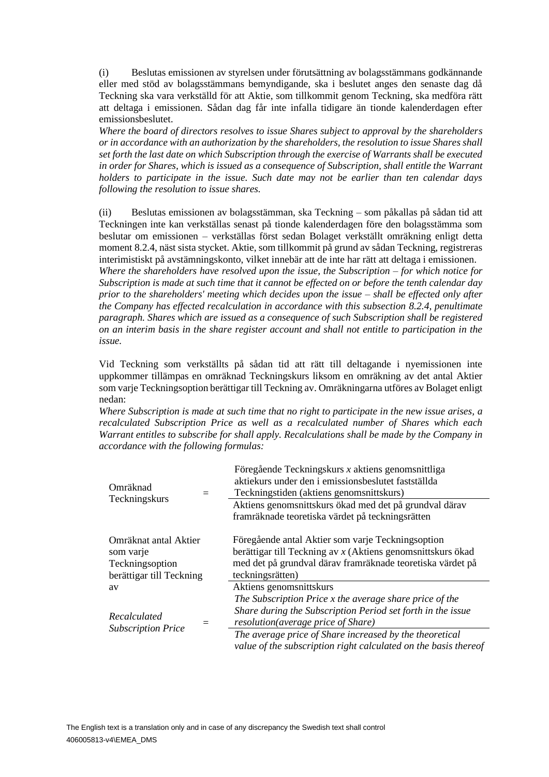(i) Beslutas emissionen av styrelsen under förutsättning av bolagsstämmans godkännande eller med stöd av bolagsstämmans bemyndigande, ska i beslutet anges den senaste dag då Teckning ska vara verkställd för att Aktie, som tillkommit genom Teckning, ska medföra rätt att deltaga i emissionen. Sådan dag får inte infalla tidigare än tionde kalenderdagen efter emissionsbeslutet.

*Where the board of directors resolves to issue Shares subject to approval by the shareholders or in accordance with an authorization by the shareholders, the resolution to issue Shares shall set forth the last date on which Subscription through the exercise of Warrants shall be executed in order for Shares, which is issued as a consequence of Subscription, shall entitle the Warrant holders to participate in the issue. Such date may not be earlier than ten calendar days following the resolution to issue shares.*

(ii) Beslutas emissionen av bolagsstämman, ska Teckning – som påkallas på sådan tid att Teckningen inte kan verkställas senast på tionde kalenderdagen före den bolagsstämma som beslutar om emissionen – verkställas först sedan Bolaget verkställt omräkning enligt detta moment [8.2.4,](#page-10-0) näst sista stycket. Aktie, som tillkommit på grund av sådan Teckning, registreras interimistiskt på avstämningskonto, vilket innebär att de inte har rätt att deltaga i emissionen. *Where the shareholders have resolved upon the issue, the Subscription – for which notice for Subscription is made at such time that it cannot be effected on or before the tenth calendar day prior to the shareholders' meeting which decides upon the issue – shall be effected only after the Company has effected recalculation in accordance with this subsection [8.2.4,](#page-10-0) penultimate paragraph. Shares which are issued as a consequence of such Subscription shall be registered on an interim basis in the share register account and shall not entitle to participation in the* 

Vid Teckning som verkställts på sådan tid att rätt till deltagande i nyemissionen inte uppkommer tillämpas en omräknad Teckningskurs liksom en omräkning av det antal Aktier som varje Teckningsoption berättigar till Teckning av. Omräkningarna utföres av Bolaget enligt nedan:

*issue.*

*Where Subscription is made at such time that no right to participate in the new issue arises, a recalculated Subscription Price as well as a recalculated number of Shares which each Warrant entitles to subscribe for shall apply. Recalculations shall be made by the Company in accordance with the following formulas:*

| Omräknad                                          | $=$ | Föregående Teckningskurs x aktiens genomsnittliga<br>aktiekurs under den i emissionsbeslutet fastställda<br>Teckningstiden (aktiens genomsnittskurs) |  |  |  |
|---------------------------------------------------|-----|------------------------------------------------------------------------------------------------------------------------------------------------------|--|--|--|
| Teckningskurs                                     |     | Aktiens genomsnittskurs ökad med det på grundval därav                                                                                               |  |  |  |
|                                                   |     | framräknade teoretiska värdet på teckningsrätten                                                                                                     |  |  |  |
|                                                   |     |                                                                                                                                                      |  |  |  |
| Omräknat antal Aktier                             |     | Föregående antal Aktier som varje Teckningsoption                                                                                                    |  |  |  |
| som varje                                         |     | berättigar till Teckning av $x$ (Aktiens genomsnittskurs ökad                                                                                        |  |  |  |
| Teckningsoption<br>berättigar till Teckning<br>av |     | med det på grundval därav framräknade teoretiska värdet på                                                                                           |  |  |  |
|                                                   |     | teckningsrätten)                                                                                                                                     |  |  |  |
|                                                   |     | Aktiens genomsnittskurs                                                                                                                              |  |  |  |
|                                                   |     | The Subscription Price x the average share price of the                                                                                              |  |  |  |
| Recalculated                                      |     | Share during the Subscription Period set forth in the issue                                                                                          |  |  |  |
|                                                   |     | resolution(average price of Share)                                                                                                                   |  |  |  |
| <b>Subscription Price</b>                         |     | The average price of Share increased by the theoretical                                                                                              |  |  |  |
|                                                   |     | value of the subscription right calculated on the basis thereof                                                                                      |  |  |  |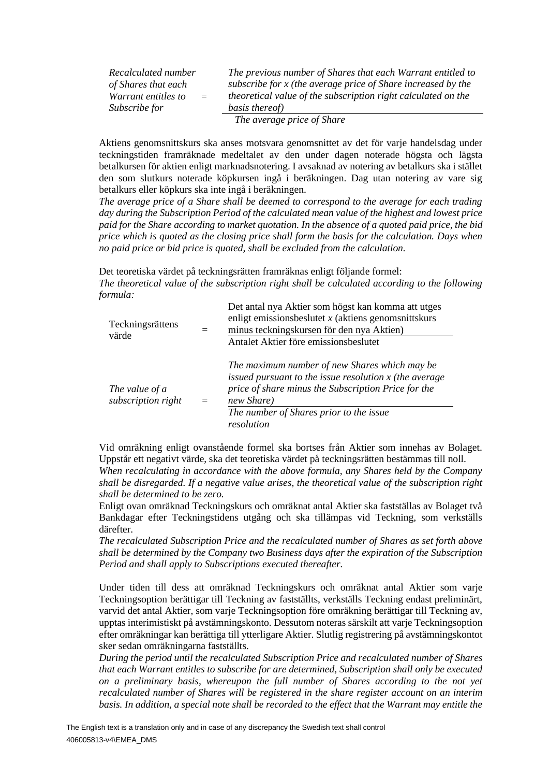*Recalculated number of Shares that each Warrant entitles to Subscribe for*  $=$ 

*The previous number of Shares that each Warrant entitled to subscribe for x (the average price of Share increased by the theoretical value of the subscription right calculated on the basis thereof) The average price of Share*

Aktiens genomsnittskurs ska anses motsvara genomsnittet av det för varje handelsdag under teckningstiden framräknade medeltalet av den under dagen noterade högsta och lägsta betalkursen för aktien enligt marknadsnotering. I avsaknad av notering av betalkurs ska i stället den som slutkurs noterade köpkursen ingå i beräkningen. Dag utan notering av vare sig

betalkurs eller köpkurs ska inte ingå i beräkningen. *The average price of a Share shall be deemed to correspond to the average for each trading day during the Subscription Period of the calculated mean value of the highest and lowest price paid for the Share according to market quotation. In the absence of a quoted paid price, the bid price which is quoted as the closing price shall form the basis for the calculation. Days when no paid price or bid price is quoted, shall be excluded from the calculation.*

Det teoretiska värdet på teckningsrätten framräknas enligt följande formel: *The theoretical value of the subscription right shall be calculated according to the following formula:*

| Teckningsrättens<br>värde            |     | Det antal nya Aktier som högst kan komma att utges<br>enligt emissionsbeslutet $x$ (aktiens genominitiskurs<br>minus teckningskursen för den nya Aktien)<br>Antalet Aktier före emissionsbeslutet                                       |
|--------------------------------------|-----|-----------------------------------------------------------------------------------------------------------------------------------------------------------------------------------------------------------------------------------------|
| The value of a<br>subscription right | $=$ | The maximum number of new Shares which may be<br>issued pursuant to the issue resolution $x$ (the average<br>price of share minus the Subscription Price for the<br>new Share)<br>The number of Shares prior to the issue<br>resolution |

Vid omräkning enligt ovanstående formel ska bortses från Aktier som innehas av Bolaget. Uppstår ett negativt värde, ska det teoretiska värdet på teckningsrätten bestämmas till noll. *When recalculating in accordance with the above formula, any Shares held by the Company shall be disregarded. If a negative value arises, the theoretical value of the subscription right shall be determined to be zero.*

Enligt ovan omräknad Teckningskurs och omräknat antal Aktier ska fastställas av Bolaget två Bankdagar efter Teckningstidens utgång och ska tillämpas vid Teckning, som verkställs därefter.

*The recalculated Subscription Price and the recalculated number of Shares as set forth above shall be determined by the Company two Business days after the expiration of the Subscription Period and shall apply to Subscriptions executed thereafter.* 

Under tiden till dess att omräknad Teckningskurs och omräknat antal Aktier som varje Teckningsoption berättigar till Teckning av fastställts, verkställs Teckning endast preliminärt, varvid det antal Aktier, som varje Teckningsoption före omräkning berättigar till Teckning av, upptas interimistiskt på avstämningskonto. Dessutom noteras särskilt att varje Teckningsoption efter omräkningar kan berättiga till ytterligare Aktier. Slutlig registrering på avstämningskontot sker sedan omräkningarna fastställts.

*During the period until the recalculated Subscription Price and recalculated number of Shares that each Warrant entitles to subscribe for are determined, Subscription shall only be executed on a preliminary basis, whereupon the full number of Shares according to the not yet recalculated number of Shares will be registered in the share register account on an interim basis. In addition, a special note shall be recorded to the effect that the Warrant may entitle the*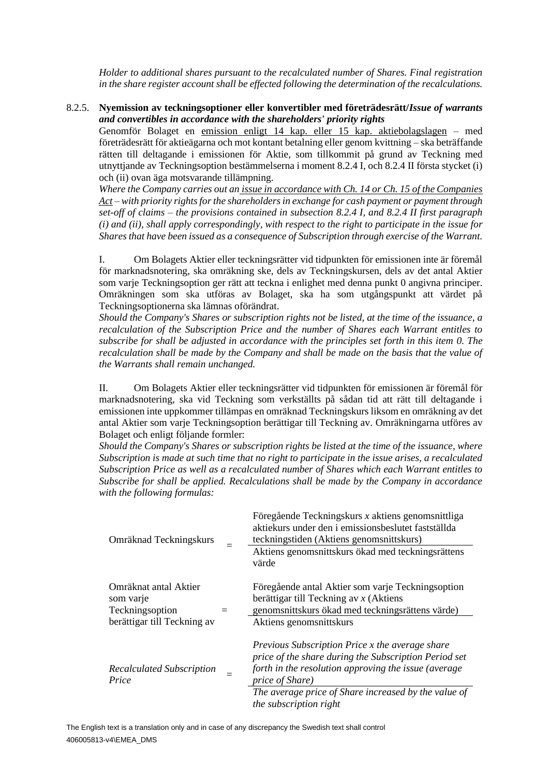*Holder to additional shares pursuant to the recalculated number of Shares. Final registration in the share register account shall be effected following the determination of the recalculations.*

#### <span id="page-13-0"></span>8.2.5. **Nyemission av teckningsoptioner eller konvertibler med företrädesrätt/***Issue of warrants and convertibles in accordance with the shareholders' priority rights*

Genomför Bolaget en emission enligt 14 kap. eller 15 kap. aktiebolagslagen – med företrädesrätt för aktieägarna och mot kontant betalning eller genom kvittning – ska beträffande rätten till deltagande i emissionen för Aktie, som tillkommit på grund av Teckning med utnyttjande av Teckningsoption bestämmelserna i moment [8.2.4](#page-10-0) I, oc[h 8.2.4](#page-10-0) II första stycket (i) och (ii) ovan äga motsvarande tillämpning.

*Where the Company carries out an issue in accordance with Ch. 14 or Ch. 15 of the Companies Act – with priority rights for the shareholders in exchange for cash payment or payment through set-off of claims – the provisions contained in subsection [8.2.4](#page-10-0) I, and [8.2.4](#page-10-0) II first paragraph (i) and (ii), shall apply correspondingly, with respect to the right to participate in the issue for Shares that have been issued as a consequence of Subscription through exercise of the Warrant.*

I. Om Bolagets Aktier eller teckningsrätter vid tidpunkten för emissionen inte är föremål för marknadsnotering, ska omräkning ske, dels av Teckningskursen, dels av det antal Aktier som varje Teckningsoption ger rätt att teckna i enlighet med denna punkt [0](#page-13-0) angivna principer. Omräkningen som ska utföras av Bolaget, ska ha som utgångspunkt att värdet på Teckningsoptionerna ska lämnas oförändrat.

*Should the Company's Shares or subscription rights not be listed, at the time of the issuance, a recalculation of the Subscription Price and the number of Shares each Warrant entitles to subscribe for shall be adjusted in accordance with the principles set forth in this item [0.](#page-13-0) The recalculation shall be made by the Company and shall be made on the basis that the value of the Warrants shall remain unchanged.*

II. Om Bolagets Aktier eller teckningsrätter vid tidpunkten för emissionen är föremål för marknadsnotering, ska vid Teckning som verkställts på sådan tid att rätt till deltagande i emissionen inte uppkommer tillämpas en omräknad Teckningskurs liksom en omräkning av det antal Aktier som varje Teckningsoption berättigar till Teckning av. Omräkningarna utföres av Bolaget och enligt följande formler:

*Should the Company's Shares or subscription rights be listed at the time of the issuance, where Subscription is made at such time that no right to participate in the issue arises, a recalculated Subscription Price as well as a recalculated number of Shares which each Warrant entitles to Subscribe for shall be applied. Recalculations shall be made by the Company in accordance with the following formulas:*

| Omräknad Teckningskurs                                | Föregående Teckningskurs x aktiens genomsnittliga<br>aktiekurs under den i emissionsbeslutet fastställda<br>teckningstiden (Aktiens genomsnittskurs)                                |
|-------------------------------------------------------|-------------------------------------------------------------------------------------------------------------------------------------------------------------------------------------|
|                                                       | Aktiens genomsnittskurs ökad med teckningsrättens<br>värde                                                                                                                          |
| Omräknat antal Aktier<br>som varje<br>Teckningsoption | Föregående antal Aktier som varje Teckningsoption<br>berättigar till Teckning av $x$ (Aktiens<br>genomsnittskurs ökad med teckningsrättens värde)                                   |
| berättigar till Teckning av                           | Aktiens genomsnittskurs                                                                                                                                                             |
| <b>Recalculated Subscription</b><br>Price             | Previous Subscription Price x the average share<br>price of the share during the Subscription Period set<br>forth in the resolution approving the issue (average<br>price of Share) |
|                                                       | The average price of Share increased by the value of<br>the subscription right                                                                                                      |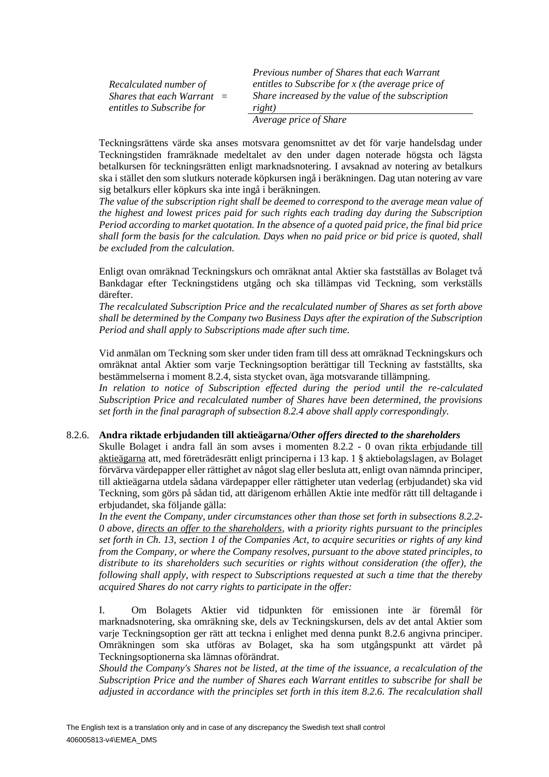*Recalculated number of Shares that each Warrant*  = *entitles to Subscribe for*

*Previous number of Shares that each Warrant entitles to Subscribe for x (the average price of Share increased by the value of the subscription right)*

*Average price of Share*

Teckningsrättens värde ska anses motsvara genomsnittet av det för varje handelsdag under Teckningstiden framräknade medeltalet av den under dagen noterade högsta och lägsta betalkursen för teckningsrätten enligt marknadsnotering. I avsaknad av notering av betalkurs ska i stället den som slutkurs noterade köpkursen ingå i beräkningen. Dag utan notering av vare sig betalkurs eller köpkurs ska inte ingå i beräkningen.

*The value of the subscription right shall be deemed to correspond to the average mean value of the highest and lowest prices paid for such rights each trading day during the Subscription Period according to market quotation. In the absence of a quoted paid price, the final bid price shall form the basis for the calculation. Days when no paid price or bid price is quoted, shall be excluded from the calculation.*

Enligt ovan omräknad Teckningskurs och omräknat antal Aktier ska fastställas av Bolaget två Bankdagar efter Teckningstidens utgång och ska tillämpas vid Teckning, som verkställs därefter.

*The recalculated Subscription Price and the recalculated number of Shares as set forth above shall be determined by the Company two Business Days after the expiration of the Subscription Period and shall apply to Subscriptions made after such time.*

Vid anmälan om Teckning som sker under tiden fram till dess att omräknad Teckningskurs och omräknat antal Aktier som varje Teckningsoption berättigar till Teckning av fastställts, ska bestämmelserna i moment [8.2.4,](#page-10-0) sista stycket ovan, äga motsvarande tillämpning.

*In relation to notice of Subscription effected during the period until the re-calculated Subscription Price and recalculated number of Shares have been determined, the provisions set forth in the final paragraph of subsection [8.2.4](#page-10-0) above shall apply correspondingly.*

#### <span id="page-14-0"></span>8.2.6. **Andra riktade erbjudanden till aktieägarna/***Other offers directed to the shareholders*

Skulle Bolaget i andra fall än som avses i momenten [8.2.2](#page-9-1) - [0](#page-13-0) ovan rikta erbjudande till aktieägarna att, med företrädesrätt enligt principerna i 13 kap. 1 § aktiebolagslagen, av Bolaget förvärva värdepapper eller rättighet av något slag eller besluta att, enligt ovan nämnda principer, till aktieägarna utdela sådana värdepapper eller rättigheter utan vederlag (erbjudandet) ska vid Teckning, som görs på sådan tid, att därigenom erhållen Aktie inte medför rätt till deltagande i erbjudandet, ska följande gälla:

*In the event the Company, under circumstances other than those set forth in subsections [8.2.2-](#page-9-1) [0](#page-13-0) above, directs an offer to the shareholders, with a priority rights pursuant to the principles set forth in Ch. 13, section 1 of the Companies Act, to acquire securities or rights of any kind from the Company, or where the Company resolves, pursuant to the above stated principles, to distribute to its shareholders such securities or rights without consideration (the offer), the following shall apply, with respect to Subscriptions requested at such a time that the thereby acquired Shares do not carry rights to participate in the offer:* 

I. Om Bolagets Aktier vid tidpunkten för emissionen inte är föremål för marknadsnotering, ska omräkning ske, dels av Teckningskursen, dels av det antal Aktier som varje Teckningsoption ger rätt att teckna i enlighet med denna punkt [8.2.6](#page-14-0) angivna principer. Omräkningen som ska utföras av Bolaget, ska ha som utgångspunkt att värdet på Teckningsoptionerna ska lämnas oförändrat.

*Should the Company's Shares not be listed, at the time of the issuance, a recalculation of the Subscription Price and the number of Shares each Warrant entitles to subscribe for shall be adjusted in accordance with the principles set forth in this item [8.2.6.](#page-14-0) The recalculation shall*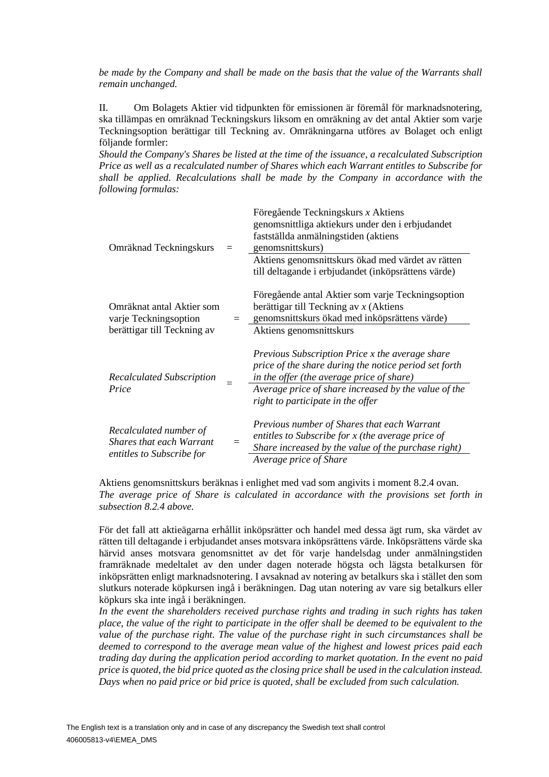*be made by the Company and shall be made on the basis that the value of the Warrants shall remain unchanged.*

II. Om Bolagets Aktier vid tidpunkten för emissionen är föremål för marknadsnotering, ska tillämpas en omräknad Teckningskurs liksom en omräkning av det antal Aktier som varje Teckningsoption berättigar till Teckning av. Omräkningarna utföres av Bolaget och enligt följande formler:

*Should the Company's Shares be listed at the time of the issuance, a recalculated Subscription Price as well as a recalculated number of Shares which each Warrant entitles to Subscribe for shall be applied. Recalculations shall be made by the Company in accordance with the following formulas:*

| Omräknad Teckningskurs                                                                 |         | Föregående Teckningskurs x Aktiens<br>genomsnittliga aktiekurs under den i erbjudandet<br>fastställda anmälningstiden (aktiens<br>genomsnittskurs)<br>Aktiens genomsnittskurs ökad med värdet av rätten<br>till deltagande i erbjudandet (inköpsrättens värde) |
|----------------------------------------------------------------------------------------|---------|----------------------------------------------------------------------------------------------------------------------------------------------------------------------------------------------------------------------------------------------------------------|
| Omräknat antal Aktier som<br>varje Teckningsoption<br>berättigar till Teckning av      | $=$ $-$ | Föregående antal Aktier som varje Teckningsoption<br>berättigar till Teckning av $x$ (Aktiens<br>genomsnittskurs ökad med inköpsrättens värde)<br>Aktiens genomsnittskurs                                                                                      |
| <b>Recalculated Subscription</b><br>Price                                              |         | Previous Subscription Price x the average share<br>price of the share during the notice period set forth<br>in the offer (the average price of share)<br>Average price of share increased by the value of the<br>right to participate in the offer             |
| Recalculated number of<br><b>Shares that each Warrant</b><br>entitles to Subscribe for | $=$     | Previous number of Shares that each Warrant<br>entitles to Subscribe for x (the average price of<br>Share increased by the value of the purchase right)<br>Average price of Share                                                                              |

Aktiens genomsnittskurs beräknas i enlighet med vad som angivits i moment [8.2.4](#page-10-0) ovan. *The average price of Share is calculated in accordance with the provisions set forth in subsection [8.2.4](#page-10-0) above.*

För det fall att aktieägarna erhållit inköpsrätter och handel med dessa ägt rum, ska värdet av rätten till deltagande i erbjudandet anses motsvara inköpsrättens värde. Inköpsrättens värde ska härvid anses motsvara genomsnittet av det för varje handelsdag under anmälningstiden framräknade medeltalet av den under dagen noterade högsta och lägsta betalkursen för inköpsrätten enligt marknadsnotering. I avsaknad av notering av betalkurs ska i stället den som slutkurs noterade köpkursen ingå i beräkningen. Dag utan notering av vare sig betalkurs eller köpkurs ska inte ingå i beräkningen.

In the event the shareholders received purchase rights and trading in such rights has taken *place, the value of the right to participate in the offer shall be deemed to be equivalent to the value of the purchase right. The value of the purchase right in such circumstances shall be deemed to correspond to the average mean value of the highest and lowest prices paid each trading day during the application period according to market quotation. In the event no paid price is quoted, the bid price quoted as the closing price shall be used in the calculation instead. Days when no paid price or bid price is quoted, shall be excluded from such calculation.*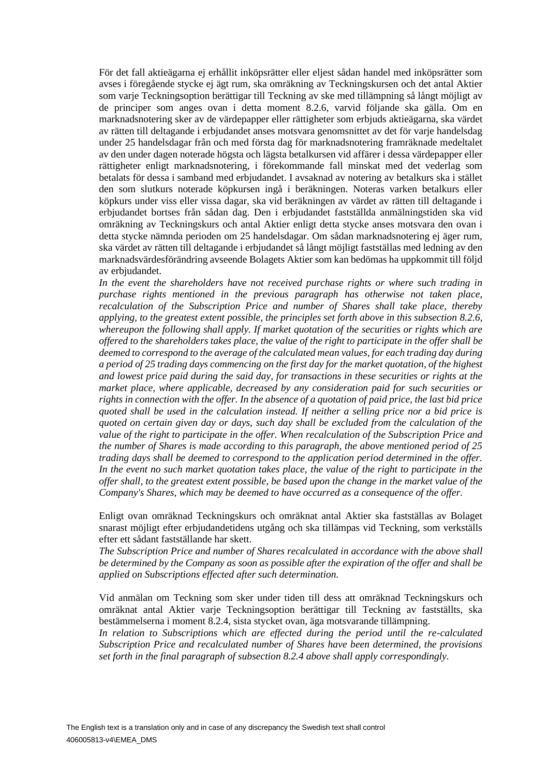För det fall aktieägarna ej erhållit inköpsrätter eller eljest sådan handel med inköpsrätter som avses i föregående stycke ej ägt rum, ska omräkning av Teckningskursen och det antal Aktier som varje Teckningsoption berättigar till Teckning av ske med tillämpning så långt möjligt av de principer som anges ovan i detta moment [8.2.6,](#page-14-0) varvid följande ska gälla. Om en marknadsnotering sker av de värdepapper eller rättigheter som erbjuds aktieägarna, ska värdet av rätten till deltagande i erbjudandet anses motsvara genomsnittet av det för varje handelsdag under 25 handelsdagar från och med första dag för marknadsnotering framräknade medeltalet av den under dagen noterade högsta och lägsta betalkursen vid affärer i dessa värdepapper eller rättigheter enligt marknadsnotering, i förekommande fall minskat med det vederlag som betalats för dessa i samband med erbjudandet. I avsaknad av notering av betalkurs ska i stället den som slutkurs noterade köpkursen ingå i beräkningen. Noteras varken betalkurs eller köpkurs under viss eller vissa dagar, ska vid beräkningen av värdet av rätten till deltagande i erbjudandet bortses från sådan dag. Den i erbjudandet fastställda anmälningstiden ska vid omräkning av Teckningskurs och antal Aktier enligt detta stycke anses motsvara den ovan i detta stycke nämnda perioden om 25 handelsdagar. Om sådan marknadsnotering ej äger rum, ska värdet av rätten till deltagande i erbjudandet så långt möjligt fastställas med ledning av den marknadsvärdesförändring avseende Bolagets Aktier som kan bedömas ha uppkommit till följd av erbjudandet.

*In the event the shareholders have not received purchase rights or where such trading in purchase rights mentioned in the previous paragraph has otherwise not taken place, recalculation of the Subscription Price and number of Shares shall take place, thereby applying, to the greatest extent possible, the principles set forth above in this subsection [8.2.6,](#page-14-0) whereupon the following shall apply. If market quotation of the securities or rights which are offered to the shareholders takes place, the value of the right to participate in the offer shall be deemed to correspond to the average of the calculated mean values, for each trading day during a period of 25 trading days commencing on the first day for the market quotation, of the highest and lowest price paid during the said day, for transactions in these securities or rights at the market place, where applicable, decreased by any consideration paid for such securities or rights in connection with the offer. In the absence of a quotation of paid price, the last bid price quoted shall be used in the calculation instead. If neither a selling price nor a bid price is quoted on certain given day or days, such day shall be excluded from the calculation of the value of the right to participate in the offer. When recalculation of the Subscription Price and the number of Shares is made according to this paragraph, the above mentioned period of 25 trading days shall be deemed to correspond to the application period determined in the offer. In the event no such market quotation takes place, the value of the right to participate in the offer shall, to the greatest extent possible, be based upon the change in the market value of the Company's Shares, which may be deemed to have occurred as a consequence of the offer.*

Enligt ovan omräknad Teckningskurs och omräknat antal Aktier ska fastställas av Bolaget snarast möjligt efter erbjudandetidens utgång och ska tillämpas vid Teckning, som verkställs efter ett sådant fastställande har skett.

*The Subscription Price and number of Shares recalculated in accordance with the above shall be determined by the Company as soon as possible after the expiration of the offer and shall be applied on Subscriptions effected after such determination.*

Vid anmälan om Teckning som sker under tiden till dess att omräknad Teckningskurs och omräknat antal Aktier varje Teckningsoption berättigar till Teckning av fastställts, ska bestämmelserna i moment [8.2.4,](#page-10-0) sista stycket ovan, äga motsvarande tillämpning.

*In relation to Subscriptions which are effected during the period until the re-calculated Subscription Price and recalculated number of Shares have been determined, the provisions set forth in the final paragraph of subsection [8.2.4](#page-10-0) above shall apply correspondingly.*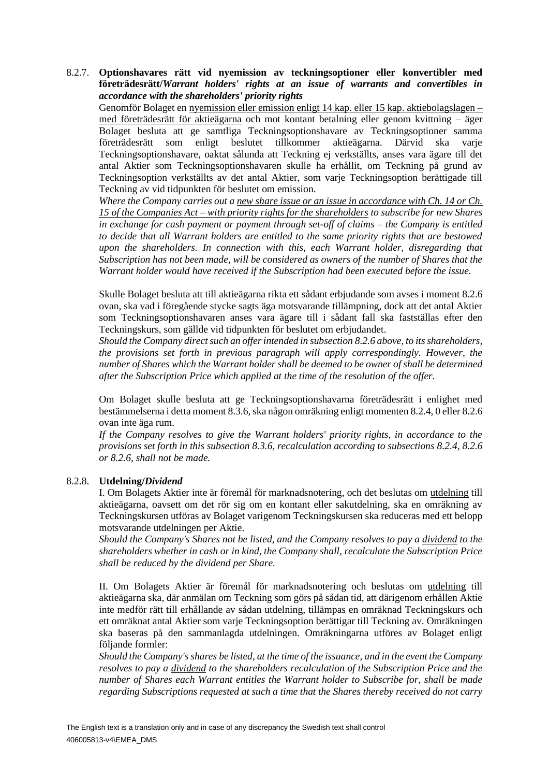#### 8.2.7. **Optionshavares rätt vid nyemission av teckningsoptioner eller konvertibler med företrädesrätt/***Warrant holders' rights at an issue of warrants and convertibles in accordance with the shareholders' priority rights*

Genomför Bolaget en nyemission eller emission enligt 14 kap. eller 15 kap. aktiebolagslagen – med företrädesrätt för aktieägarna och mot kontant betalning eller genom kvittning – äger Bolaget besluta att ge samtliga Teckningsoptionshavare av Teckningsoptioner samma företrädesrätt som enligt beslutet tillkommer aktieägarna. Därvid ska varje Teckningsoptionshavare, oaktat sålunda att Teckning ej verkställts, anses vara ägare till det antal Aktier som Teckningsoptionshavaren skulle ha erhållit, om Teckning på grund av Teckningsoption verkställts av det antal Aktier, som varje Teckningsoption berättigade till Teckning av vid tidpunkten för beslutet om emission.

*Where the Company carries out a new share issue or an issue in accordance with Ch. 14 or Ch. 15 of the Companies Act – with priority rights for the shareholders to subscribe for new Shares in exchange for cash payment or payment through set-off of claims – the Company is entitled to decide that all Warrant holders are entitled to the same priority rights that are bestowed upon the shareholders. In connection with this, each Warrant holder, disregarding that Subscription has not been made, will be considered as owners of the number of Shares that the Warrant holder would have received if the Subscription had been executed before the issue.*

Skulle Bolaget besluta att till aktieägarna rikta ett sådant erbjudande som avses i moment [8.2.6](#page-14-0) ovan, ska vad i föregående stycke sagts äga motsvarande tillämpning, dock att det antal Aktier som Teckningsoptionshavaren anses vara ägare till i sådant fall ska fastställas efter den Teckningskurs, som gällde vid tidpunkten för beslutet om erbjudandet.

*Should the Company direct such an offer intended in subsection [8.2.6](#page-14-0) above, to its shareholders, the provisions set forth in previous paragraph will apply correspondingly. However, the number of Shares which the Warrant holder shall be deemed to be owner of shall be determined after the Subscription Price which applied at the time of the resolution of the offer.*

Om Bolaget skulle besluta att ge Teckningsoptionshavarna företrädesrätt i enlighet med bestämmelserna i detta moment 8.3.6, ska någon omräkning enligt momente[n 8.2.4,](#page-10-0) [0](#page-13-0) elle[r 8.2.6](#page-14-0) ovan inte äga rum.

*If the Company resolves to give the Warrant holders' priority rights, in accordance to the provisions set forth in this subsection 8.3.6, recalculation according to subsections [8.2.4,](#page-10-0) [8.2.6](#page-14-0) or [8.2.6,](#page-14-0) shall not be made.*

#### <span id="page-17-0"></span>8.2.8. **Utdelning/***Dividend*

I. Om Bolagets Aktier inte är föremål för marknadsnotering, och det beslutas om utdelning till aktieägarna, oavsett om det rör sig om en kontant eller sakutdelning, ska en omräkning av Teckningskursen utföras av Bolaget varigenom Teckningskursen ska reduceras med ett belopp motsvarande utdelningen per Aktie.

*Should the Company's Shares not be listed, and the Company resolves to pay a dividend to the shareholders whether in cash or in kind, the Company shall, recalculate the Subscription Price shall be reduced by the dividend per Share.* 

II. Om Bolagets Aktier är föremål för marknadsnotering och beslutas om utdelning till aktieägarna ska, där anmälan om Teckning som görs på sådan tid, att därigenom erhållen Aktie inte medför rätt till erhållande av sådan utdelning, tillämpas en omräknad Teckningskurs och ett omräknat antal Aktier som varje Teckningsoption berättigar till Teckning av. Omräkningen ska baseras på den sammanlagda utdelningen. Omräkningarna utföres av Bolaget enligt följande formler:

*Should the Company's shares be listed, at the time of the issuance, and in the event the Company resolves to pay a dividend to the shareholders recalculation of the Subscription Price and the number of Shares each Warrant entitles the Warrant holder to Subscribe for, shall be made regarding Subscriptions requested at such a time that the Shares thereby received do not carry*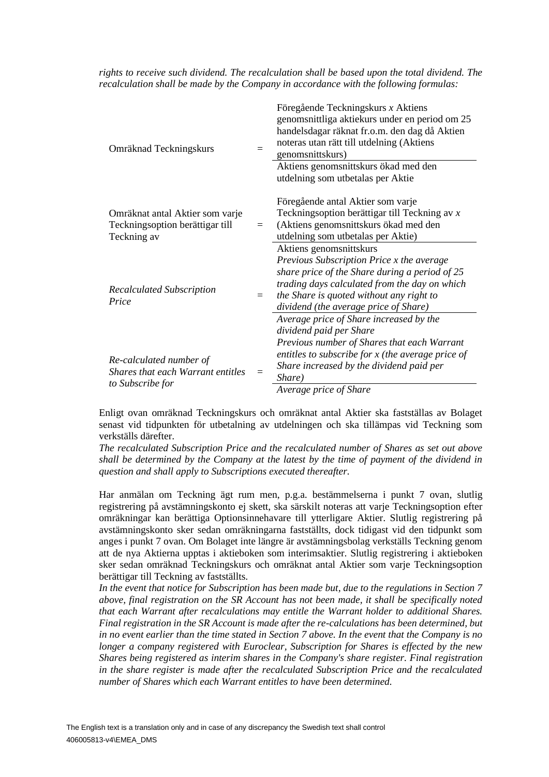*rights to receive such dividend. The recalculation shall be based upon the total dividend. The recalculation shall be made by the Company in accordance with the following formulas:*

| Omräknad Teckningskurs                                                            |     | Föregående Teckningskurs x Aktiens<br>genomsnittliga aktiekurs under en period om 25<br>handelsdagar räknat fr.o.m. den dag då Aktien<br>noteras utan rätt till utdelning (Aktiens<br>genomsnittskurs)                                                       |
|-----------------------------------------------------------------------------------|-----|--------------------------------------------------------------------------------------------------------------------------------------------------------------------------------------------------------------------------------------------------------------|
|                                                                                   |     | Aktiens genomsnittskurs ökad med den<br>utdelning som utbetalas per Aktie                                                                                                                                                                                    |
| Omräknat antal Aktier som varje<br>Teckningsoption berättigar till<br>Teckning av | $=$ | Föregående antal Aktier som varje<br>Teckningsoption berättigar till Teckning av x<br>(Aktiens genomsnittskurs ökad med den<br>utdelning som utbetalas per Aktie)                                                                                            |
| <b>Recalculated Subscription</b><br>Price                                         | $=$ | Aktiens genomsnittskurs<br>Previous Subscription Price x the average<br>share price of the Share during a period of 25<br>trading days calculated from the day on which<br>the Share is quoted without any right to<br>dividend (the average price of Share) |
| Re-calculated number of<br>Shares that each Warrant entitles<br>to Subscribe for  |     | Average price of Share increased by the<br>dividend paid per Share<br>Previous number of Shares that each Warrant<br>entitles to subscribe for $x$ (the average price of<br>Share increased by the dividend paid per<br>Share)<br>Average price of Share     |
|                                                                                   |     |                                                                                                                                                                                                                                                              |

Enligt ovan omräknad Teckningskurs och omräknat antal Aktier ska fastställas av Bolaget senast vid tidpunkten för utbetalning av utdelningen och ska tillämpas vid Teckning som verkställs därefter.

*The recalculated Subscription Price and the recalculated number of Shares as set out above shall be determined by the Company at the latest by the time of payment of the dividend in question and shall apply to Subscriptions executed thereafter.*

Har anmälan om Teckning ägt rum men, p.g.a. bestämmelserna i punkt [7](#page-7-1) ovan, slutlig registrering på avstämningskonto ej skett, ska särskilt noteras att varje Teckningsoption efter omräkningar kan berättiga Optionsinnehavare till ytterligare Aktier. Slutlig registrering på avstämningskonto sker sedan omräkningarna fastställts, dock tidigast vid den tidpunkt som anges i punkt [7](#page-7-1) ovan. Om Bolaget inte längre är avstämningsbolag verkställs Teckning genom att de nya Aktierna upptas i aktieboken som interimsaktier. Slutlig registrering i aktieboken sker sedan omräknad Teckningskurs och omräknat antal Aktier som varje Teckningsoption berättigar till Teckning av fastställts.

*In the event that notice for Subscription has been made but, due to the regulations in Section 7 above, final registration on the SR Account has not been made, it shall be specifically noted that each Warrant after recalculations may entitle the Warrant holder to additional Shares. Final registration in the SR Account is made after the re-calculations has been determined, but in no event earlier than the time stated in Section 7 above. In the event that the Company is no longer a company registered with Euroclear, Subscription for Shares is effected by the new Shares being registered as interim shares in the Company's share register. Final registration in the share register is made after the recalculated Subscription Price and the recalculated number of Shares which each Warrant entitles to have been determined.*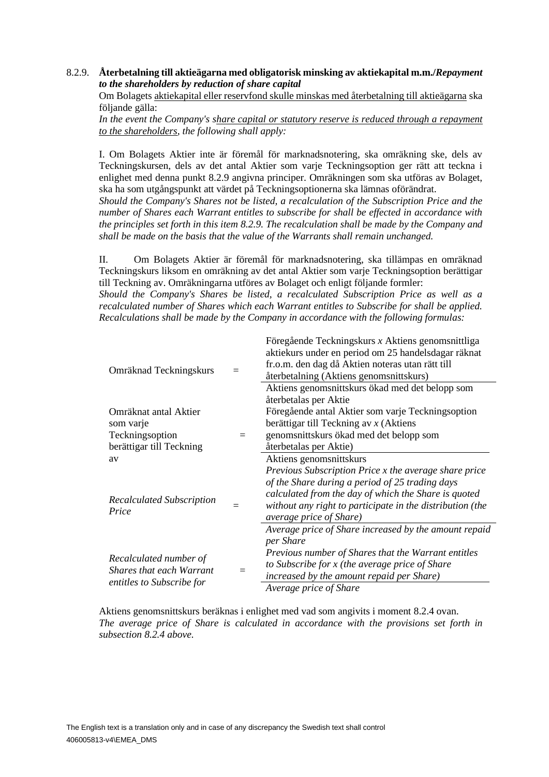#### <span id="page-19-0"></span>8.2.9. **Återbetalning till aktieägarna med obligatorisk minsking av aktiekapital m.m./***Repayment to the shareholders by reduction of share capital*

Om Bolagets aktiekapital eller reservfond skulle minskas med återbetalning till aktieägarna ska följande gälla:

*In the event the Company's share capital or statutory reserve is reduced through a repayment to the shareholders, the following shall apply:*

I. Om Bolagets Aktier inte är föremål för marknadsnotering, ska omräkning ske, dels av Teckningskursen, dels av det antal Aktier som varje Teckningsoption ger rätt att teckna i enlighet med denna punkt [8.2.9](#page-19-0) angivna principer. Omräkningen som ska utföras av Bolaget, ska ha som utgångspunkt att värdet på Teckningsoptionerna ska lämnas oförändrat.

*Should the Company's Shares not be listed, a recalculation of the Subscription Price and the number of Shares each Warrant entitles to subscribe for shall be effected in accordance with the principles set forth in this item [8.2.9.](#page-19-0) The recalculation shall be made by the Company and shall be made on the basis that the value of the Warrants shall remain unchanged.*

II. Om Bolagets Aktier är föremål för marknadsnotering, ska tillämpas en omräknad Teckningskurs liksom en omräkning av det antal Aktier som varje Teckningsoption berättigar till Teckning av. Omräkningarna utföres av Bolaget och enligt följande formler:

*Should the Company's Shares be listed, a recalculated Subscription Price as well as a recalculated number of Shares which each Warrant entitles to Subscribe for shall be applied. Recalculations shall be made by the Company in accordance with the following formulas:*

| Omräknad Teckningskurs                                                                 |  | Föregående Teckningskurs x Aktiens genomsnittliga<br>aktiekurs under en period om 25 handelsdagar räknat<br>fr.o.m. den dag då Aktien noteras utan rätt till<br>återbetalning (Aktiens genomsnittskurs) |
|----------------------------------------------------------------------------------------|--|---------------------------------------------------------------------------------------------------------------------------------------------------------------------------------------------------------|
|                                                                                        |  | Aktiens genomsnittskurs ökad med det belopp som<br>återbetalas per Aktie                                                                                                                                |
| Omräknat antal Aktier                                                                  |  | Föregående antal Aktier som varje Teckningsoption                                                                                                                                                       |
| som varje                                                                              |  | berättigar till Teckning av $x$ (Aktiens                                                                                                                                                                |
| Teckningsoption                                                                        |  | genomsnittskurs ökad med det belopp som                                                                                                                                                                 |
| berättigar till Teckning                                                               |  | återbetalas per Aktie)                                                                                                                                                                                  |
| av                                                                                     |  | Aktiens genomsnittskurs                                                                                                                                                                                 |
|                                                                                        |  | Previous Subscription Price x the average share price                                                                                                                                                   |
|                                                                                        |  | of the Share during a period of 25 trading days                                                                                                                                                         |
| <b>Recalculated Subscription</b>                                                       |  | calculated from the day of which the Share is quoted                                                                                                                                                    |
| Price                                                                                  |  | without any right to participate in the distribution (the<br>average price of Share)                                                                                                                    |
|                                                                                        |  | Average price of Share increased by the amount repaid                                                                                                                                                   |
| Recalculated number of<br><b>Shares that each Warrant</b><br>entitles to Subscribe for |  | per Share<br>Previous number of Shares that the Warrant entitles<br>to Subscribe for x (the average price of Share<br>increased by the amount repaid per Share)                                         |
|                                                                                        |  | Average price of Share                                                                                                                                                                                  |

Aktiens genomsnittskurs beräknas i enlighet med vad som angivits i moment [8.2.4](#page-10-0) ovan. *The average price of Share is calculated in accordance with the provisions set forth in subsection [8.2.4](#page-10-0) above.*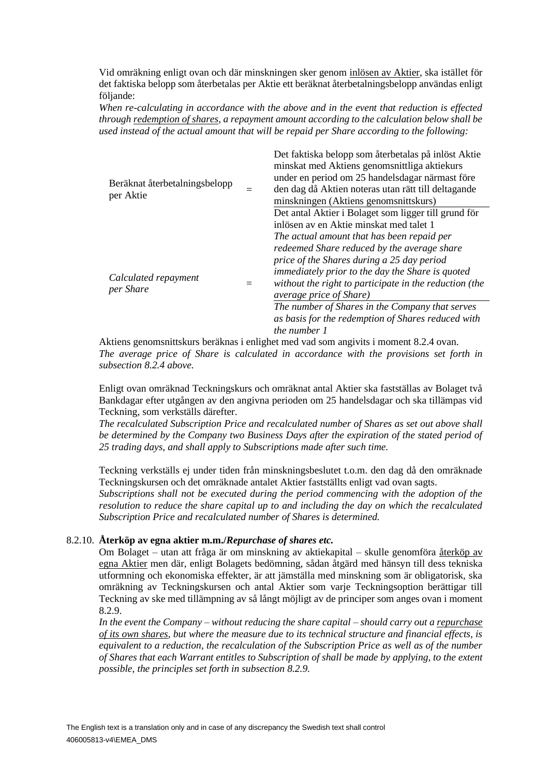Vid omräkning enligt ovan och där minskningen sker genom inlösen av Aktier, ska istället för det faktiska belopp som återbetalas per Aktie ett beräknat återbetalningsbelopp användas enligt följande:

*When re-calculating in accordance with the above and in the event that reduction is effected through redemption of shares, a repayment amount according to the calculation below shall be used instead of the actual amount that will be repaid per Share according to the following:*

| Beräknat återbetalningsbelopp<br>per Aktie | Det faktiska belopp som återbetalas på inlöst Aktie<br>minskat med Aktiens genomsnittliga aktiekurs<br>under en period om 25 handelsdagar närmast före<br>den dag då Aktien noteras utan rätt till deltagande<br>minskningen (Aktiens genomsnittskurs)                        |
|--------------------------------------------|-------------------------------------------------------------------------------------------------------------------------------------------------------------------------------------------------------------------------------------------------------------------------------|
|                                            | Det antal Aktier i Bolaget som ligger till grund för<br>inlösen av en Aktie minskat med talet 1<br>The actual amount that has been repaid per<br>redeemed Share reduced by the average share<br>price of the Shares during a 25 day period                                    |
| Calculated repayment<br>per Share          | <i>immediately prior to the day the Share is quoted</i><br>without the right to participate in the reduction (the<br><i>average price of Share</i> )<br>The number of Shares in the Company that serves<br>as basis for the redemption of Shares reduced with<br>the number 1 |

Aktiens genomsnittskurs beräknas i enlighet med vad som angivits i moment [8.2.4](#page-10-0) ovan. *The average price of Share is calculated in accordance with the provisions set forth in subsection [8.2.4](#page-10-0) above.*

Enligt ovan omräknad Teckningskurs och omräknat antal Aktier ska fastställas av Bolaget två Bankdagar efter utgången av den angivna perioden om 25 handelsdagar och ska tillämpas vid Teckning, som verkställs därefter.

*The recalculated Subscription Price and recalculated number of Shares as set out above shall be determined by the Company two Business Days after the expiration of the stated period of 25 trading days, and shall apply to Subscriptions made after such time.*

Teckning verkställs ej under tiden från minskningsbeslutet t.o.m. den dag då den omräknade Teckningskursen och det omräknade antalet Aktier fastställts enligt vad ovan sagts.

*Subscriptions shall not be executed during the period commencing with the adoption of the resolution to reduce the share capital up to and including the day on which the recalculated Subscription Price and recalculated number of Shares is determined.*

#### 8.2.10. **Återköp av egna aktier m.m./***Repurchase of shares etc.*

Om Bolaget – utan att fråga är om minskning av aktiekapital – skulle genomföra återköp av egna Aktier men där, enligt Bolagets bedömning, sådan åtgärd med hänsyn till dess tekniska utformning och ekonomiska effekter, är att jämställa med minskning som är obligatorisk, ska omräkning av Teckningskursen och antal Aktier som varje Teckningsoption berättigar till Teckning av ske med tillämpning av så långt möjligt av de principer som anges ovan i moment [8.2.9.](#page-19-0)

*In the event the Company – without reducing the share capital – should carry out a repurchase of its own shares, but where the measure due to its technical structure and financial effects, is equivalent to a reduction, the recalculation of the Subscription Price as well as of the number of Shares that each Warrant entitles to Subscription of shall be made by applying, to the extent possible, the principles set forth in subsection [8.2.9.](#page-19-0)*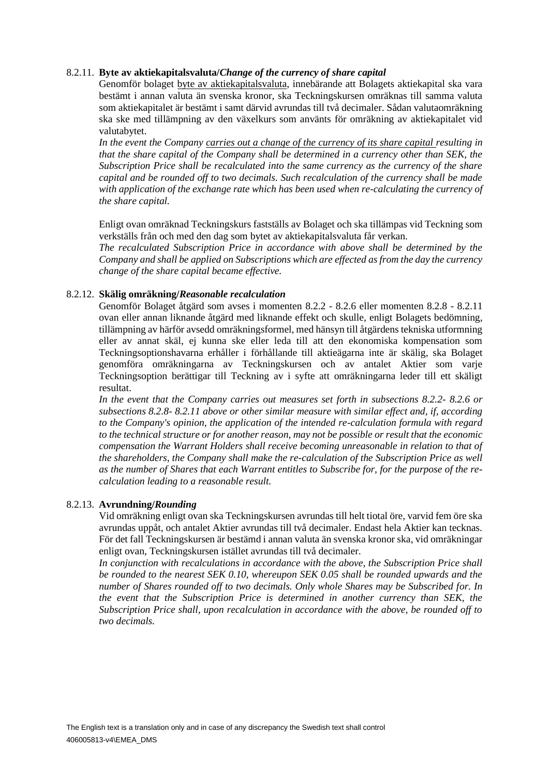#### <span id="page-21-0"></span>8.2.11. **Byte av aktiekapitalsvaluta/***Change of the currency of share capital*

Genomför bolaget byte av aktiekapitalsvaluta, innebärande att Bolagets aktiekapital ska vara bestämt i annan valuta än svenska kronor, ska Teckningskursen omräknas till samma valuta som aktiekapitalet är bestämt i samt därvid avrundas till två decimaler. Sådan valutaomräkning ska ske med tillämpning av den växelkurs som använts för omräkning av aktiekapitalet vid valutabytet.

In the event the Company carries out a change of the currency of its share capital resulting in *that the share capital of the Company shall be determined in a currency other than SEK, the Subscription Price shall be recalculated into the same currency as the currency of the share capital and be rounded off to two decimals. Such recalculation of the currency shall be made with application of the exchange rate which has been used when re-calculating the currency of the share capital.*

Enligt ovan omräknad Teckningskurs fastställs av Bolaget och ska tillämpas vid Teckning som verkställs från och med den dag som bytet av aktiekapitalsvaluta får verkan.

*The recalculated Subscription Price in accordance with above shall be determined by the Company and shall be applied on Subscriptions which are effected as from the day the currency change of the share capital became effective.*

#### <span id="page-21-1"></span>8.2.12. **Skälig omräkning/***Reasonable recalculation*

Genomför Bolaget åtgärd som avses i momenten [8.2.2](#page-9-1) - [8.2.6](#page-14-0) eller momenten [8.2.8](#page-17-0) - [8.2.11](#page-21-0) ovan eller annan liknande åtgärd med liknande effekt och skulle, enligt Bolagets bedömning, tillämpning av härför avsedd omräkningsformel, med hänsyn till åtgärdens tekniska utformning eller av annat skäl, ej kunna ske eller leda till att den ekonomiska kompensation som Teckningsoptionshavarna erhåller i förhållande till aktieägarna inte är skälig, ska Bolaget genomföra omräkningarna av Teckningskursen och av antalet Aktier som varje Teckningsoption berättigar till Teckning av i syfte att omräkningarna leder till ett skäligt resultat.

*In the event that the Company carries out measures set forth in subsections [8.2.2-](#page-9-1) [8.2.6](#page-14-0) or subsections [8.2.8-](#page-17-0) [8.2.11](#page-21-0) above or other similar measure with similar effect and, if, according to the Company's opinion, the application of the intended re-calculation formula with regard to the technical structure or for another reason, may not be possible or result that the economic compensation the Warrant Holders shall receive becoming unreasonable in relation to that of the shareholders, the Company shall make the re-calculation of the Subscription Price as well as the number of Shares that each Warrant entitles to Subscribe for, for the purpose of the recalculation leading to a reasonable result.*

#### 8.2.13. **Avrundning/***Rounding*

Vid omräkning enligt ovan ska Teckningskursen avrundas till helt tiotal öre, varvid fem öre ska avrundas uppåt, och antalet Aktier avrundas till två decimaler. Endast hela Aktier kan tecknas. För det fall Teckningskursen är bestämd i annan valuta än svenska kronor ska, vid omräkningar enligt ovan, Teckningskursen istället avrundas till två decimaler.

*In conjunction with recalculations in accordance with the above, the Subscription Price shall be rounded to the nearest SEK 0.10, whereupon SEK 0.05 shall be rounded upwards and the number of Shares rounded off to two decimals. Only whole Shares may be Subscribed for. In the event that the Subscription Price is determined in another currency than SEK, the Subscription Price shall, upon recalculation in accordance with the above, be rounded off to two decimals.*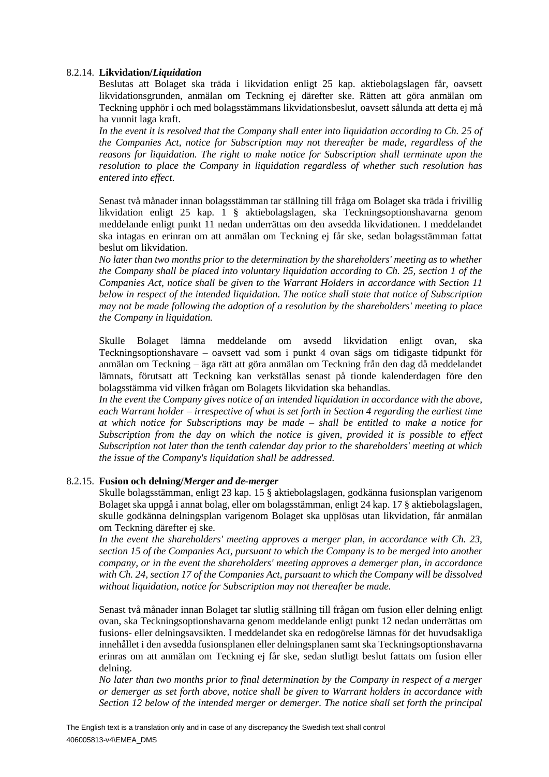#### <span id="page-22-0"></span>8.2.14. **Likvidation/***Liquidation*

Beslutas att Bolaget ska träda i likvidation enligt 25 kap. aktiebolagslagen får, oavsett likvidationsgrunden, anmälan om Teckning ej därefter ske. Rätten att göra anmälan om Teckning upphör i och med bolagsstämmans likvidationsbeslut, oavsett sålunda att detta ej må ha vunnit laga kraft.

*In the event it is resolved that the Company shall enter into liquidation according to Ch. 25 of the Companies Act, notice for Subscription may not thereafter be made, regardless of the reasons for liquidation. The right to make notice for Subscription shall terminate upon the resolution to place the Company in liquidation regardless of whether such resolution has entered into effect.*

Senast två månader innan bolagsstämman tar ställning till fråga om Bolaget ska träda i frivillig likvidation enligt 25 kap. 1 § aktiebolagslagen, ska Teckningsoptionshavarna genom meddelande enligt punkt 11 nedan underrättas om den avsedda likvidationen. I meddelandet ska intagas en erinran om att anmälan om Teckning ej får ske, sedan bolagsstämman fattat beslut om likvidation.

*No later than two months prior to the determination by the shareholders' meeting as to whether the Company shall be placed into voluntary liquidation according to Ch. 25, section 1 of the Companies Act, notice shall be given to the Warrant Holders in accordance with Section 11 below in respect of the intended liquidation. The notice shall state that notice of Subscription may not be made following the adoption of a resolution by the shareholders' meeting to place the Company in liquidation.*

Skulle Bolaget lämna meddelande om avsedd likvidation enligt ovan, ska Teckningsoptionshavare – oavsett vad som i punkt 4 ovan sägs om tidigaste tidpunkt för anmälan om Teckning – äga rätt att göra anmälan om Teckning från den dag då meddelandet lämnats, förutsatt att Teckning kan verkställas senast på tionde kalenderdagen före den bolagsstämma vid vilken frågan om Bolagets likvidation ska behandlas.

*In the event the Company gives notice of an intended liquidation in accordance with the above, each Warrant holder – irrespective of what is set forth in Section 4 regarding the earliest time at which notice for Subscriptions may be made – shall be entitled to make a notice for Subscription from the day on which the notice is given, provided it is possible to effect Subscription not later than the tenth calendar day prior to the shareholders' meeting at which the issue of the Company's liquidation shall be addressed.*

#### <span id="page-22-1"></span>8.2.15. **Fusion och delning/***Merger and de-merger*

Skulle bolagsstämman, enligt 23 kap. 15 § aktiebolagslagen, godkänna fusionsplan varigenom Bolaget ska uppgå i annat bolag, eller om bolagsstämman, enligt 24 kap. 17 § aktiebolagslagen, skulle godkänna delningsplan varigenom Bolaget ska upplösas utan likvidation, får anmälan om Teckning därefter ej ske.

*In the event the shareholders' meeting approves a merger plan, in accordance with Ch. 23, section 15 of the Companies Act, pursuant to which the Company is to be merged into another company, or in the event the shareholders' meeting approves a demerger plan, in accordance with Ch. 24, section 17 of the Companies Act, pursuant to which the Company will be dissolved without liquidation, notice for Subscription may not thereafter be made.*

Senast två månader innan Bolaget tar slutlig ställning till frågan om fusion eller delning enligt ovan, ska Teckningsoptionshavarna genom meddelande enligt punkt 12 nedan underrättas om fusions- eller delningsavsikten. I meddelandet ska en redogörelse lämnas för det huvudsakliga innehållet i den avsedda fusionsplanen eller delningsplanen samt ska Teckningsoptionshavarna erinras om att anmälan om Teckning ej får ske, sedan slutligt beslut fattats om fusion eller delning.

*No later than two months prior to final determination by the Company in respect of a merger or demerger as set forth above, notice shall be given to Warrant holders in accordance with Section 12 below of the intended merger or demerger. The notice shall set forth the principal*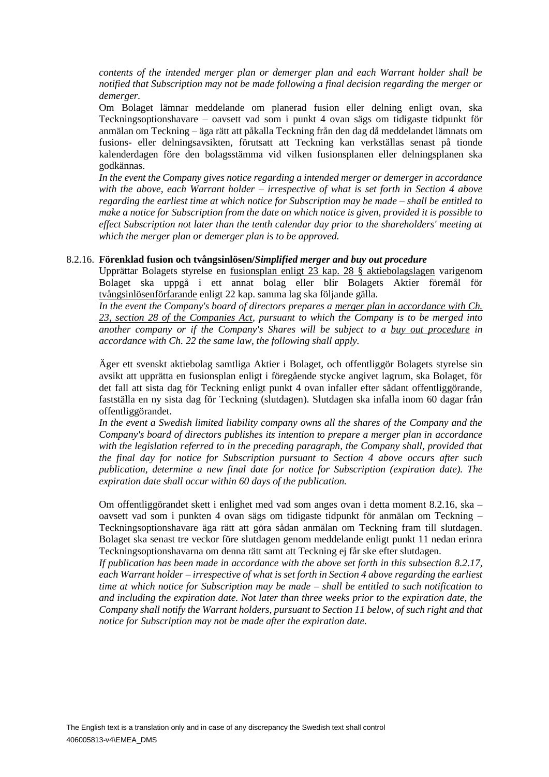*contents of the intended merger plan or demerger plan and each Warrant holder shall be notified that Subscription may not be made following a final decision regarding the merger or demerger.*

Om Bolaget lämnar meddelande om planerad fusion eller delning enligt ovan, ska Teckningsoptionshavare – oavsett vad som i punkt 4 ovan sägs om tidigaste tidpunkt för anmälan om Teckning – äga rätt att påkalla Teckning från den dag då meddelandet lämnats om fusions- eller delningsavsikten, förutsatt att Teckning kan verkställas senast på tionde kalenderdagen före den bolagsstämma vid vilken fusionsplanen eller delningsplanen ska godkännas.

*In the event the Company gives notice regarding a intended merger or demerger in accordance with the above, each Warrant holder – irrespective of what is set forth in Section 4 above regarding the earliest time at which notice for Subscription may be made – shall be entitled to make a notice for Subscription from the date on which notice is given, provided it is possible to effect Subscription not later than the tenth calendar day prior to the shareholders' meeting at which the merger plan or demerger plan is to be approved.*

#### <span id="page-23-0"></span>8.2.16. **Förenklad fusion och tvångsinlösen/***Simplified merger and buy out procedure*

Upprättar Bolagets styrelse en fusionsplan enligt 23 kap. 28 § aktiebolagslagen varigenom Bolaget ska uppgå i ett annat bolag eller blir Bolagets Aktier föremål för tvångsinlösenförfarande enligt 22 kap. samma lag ska följande gälla.

*In the event the Company's board of directors prepares a merger plan in accordance with Ch. 23, section 28 of the Companies Act, pursuant to which the Company is to be merged into another company or if the Company's Shares will be subject to a buy out procedure in accordance with Ch. 22 the same law, the following shall apply.* 

Äger ett svenskt aktiebolag samtliga Aktier i Bolaget, och offentliggör Bolagets styrelse sin avsikt att upprätta en fusionsplan enligt i föregående stycke angivet lagrum, ska Bolaget, för det fall att sista dag för Teckning enligt punkt 4 ovan infaller efter sådant offentliggörande, fastställa en ny sista dag för Teckning (slutdagen). Slutdagen ska infalla inom 60 dagar från offentliggörandet.

*In the event a Swedish limited liability company owns all the shares of the Company and the Company's board of directors publishes its intention to prepare a merger plan in accordance with the legislation referred to in the preceding paragraph, the Company shall, provided that the final day for notice for Subscription pursuant to Section 4 above occurs after such publication, determine a new final date for notice for Subscription (expiration date). The expiration date shall occur within 60 days of the publication.*

Om offentliggörandet skett i enlighet med vad som anges ovan i detta moment [8.2.16,](#page-23-0) ska – oavsett vad som i punkten 4 ovan sägs om tidigaste tidpunkt för anmälan om Teckning – Teckningsoptionshavare äga rätt att göra sådan anmälan om Teckning fram till slutdagen. Bolaget ska senast tre veckor före slutdagen genom meddelande enligt punkt 11 nedan erinra Teckningsoptionshavarna om denna rätt samt att Teckning ej får ske efter slutdagen.

*If publication has been made in accordance with the above set forth in this subsection [8.2.17,](#page-24-1) each Warrant holder – irrespective of what is set forth in Section 4 above regarding the earliest time at which notice for Subscription may be made – shall be entitled to such notification to and including the expiration date. Not later than three weeks prior to the expiration date, the Company shall notify the Warrant holders, pursuant to Section 11 below, of such right and that notice for Subscription may not be made after the expiration date.*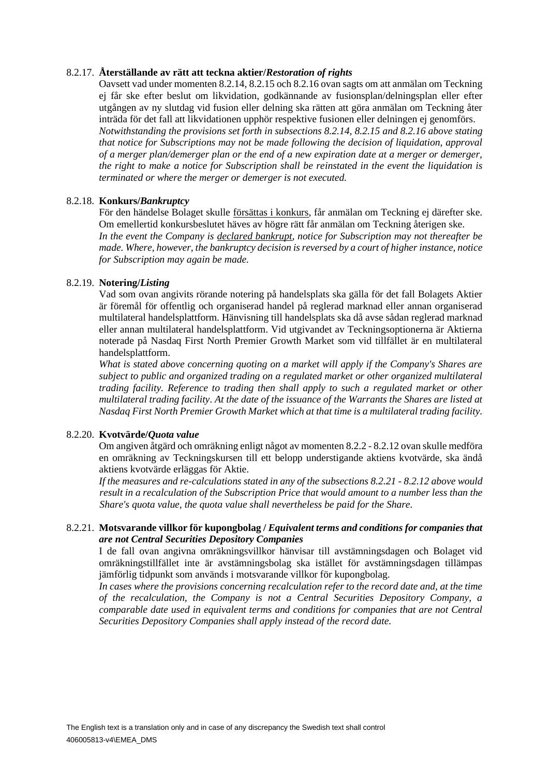#### <span id="page-24-1"></span>8.2.17. **Återställande av rätt att teckna aktier/***Restoration of rights*

Oavsett vad under momente[n 8.2.14,](#page-22-0) [8.2.15](#page-22-1) oc[h 8.2.16](#page-23-0) ovan sagts om att anmälan om Teckning ej får ske efter beslut om likvidation, godkännande av fusionsplan/delningsplan eller efter utgången av ny slutdag vid fusion eller delning ska rätten att göra anmälan om Teckning åter inträda för det fall att likvidationen upphör respektive fusionen eller delningen ej genomförs. *Notwithstanding the provisions set forth in subsections [8.2.14,](#page-22-0) [8.2.15](#page-22-1) and [8.2.16](#page-23-0) above stating that notice for Subscriptions may not be made following the decision of liquidation, approval of a merger plan/demerger plan or the end of a new expiration date at a merger or demerger, the right to make a notice for Subscription shall be reinstated in the event the liquidation is terminated or where the merger or demerger is not executed.*

#### 8.2.18. **Konkurs/***Bankruptcy*

För den händelse Bolaget skulle försättas i konkurs, får anmälan om Teckning ej därefter ske. Om emellertid konkursbeslutet häves av högre rätt får anmälan om Teckning återigen ske. *In the event the Company is declared bankrupt, notice for Subscription may not thereafter be made. Where, however, the bankruptcy decision is reversed by a court of higher instance, notice for Subscription may again be made.*

#### 8.2.19. **Notering/***Listing*

Vad som ovan angivits rörande notering på handelsplats ska gälla för det fall Bolagets Aktier är föremål för offentlig och organiserad handel på reglerad marknad eller annan organiserad multilateral handelsplattform. Hänvisning till handelsplats ska då avse sådan reglerad marknad eller annan multilateral handelsplattform. Vid utgivandet av Teckningsoptionerna är Aktierna noterade på Nasdaq First North Premier Growth Market som vid tillfället är en multilateral handelsplattform.

*What is stated above concerning quoting on a market will apply if the Company's Shares are subject to public and organized trading on a regulated market or other organized multilateral trading facility. Reference to trading then shall apply to such a regulated market or other multilateral trading facility*. *At the date of the issuance of the Warrants the Shares are listed at Nasdaq First North Premier Growth Market which at that time is a multilateral trading facility.*

#### <span id="page-24-0"></span>8.2.20. **Kvotvärde/***Quota value*

Om angiven åtgärd och omräkning enligt något av momente[n 8.2.2](#page-9-1) - [8.2.12](#page-21-1) ovan skulle medföra en omräkning av Teckningskursen till ett belopp understigande aktiens kvotvärde, ska ändå aktiens kvotvärde erläggas för Aktie.

*If the measures and re-calculations stated in any of the subsections [8.2.21](#page-9-1) - [8.2.12](#page-21-1) above would result in a recalculation of the Subscription Price that would amount to a number less than the Share's quota value, the quota value shall nevertheless be paid for the Share.*

## 8.2.21. **Motsvarande villkor för kupongbolag /** *Equivalent terms and conditions for companies that are not Central Securities Depository Companies*

I de fall ovan angivna omräkningsvillkor hänvisar till avstämningsdagen och Bolaget vid omräkningstillfället inte är avstämningsbolag ska istället för avstämningsdagen tillämpas jämförlig tidpunkt som används i motsvarande villkor för kupongbolag.

*In cases where the provisions concerning recalculation refer to the record date and, at the time of the recalculation, the Company is not a Central Securities Depository Company, a comparable date used in equivalent terms and conditions for companies that are not Central Securities Depository Companies shall apply instead of the record date.*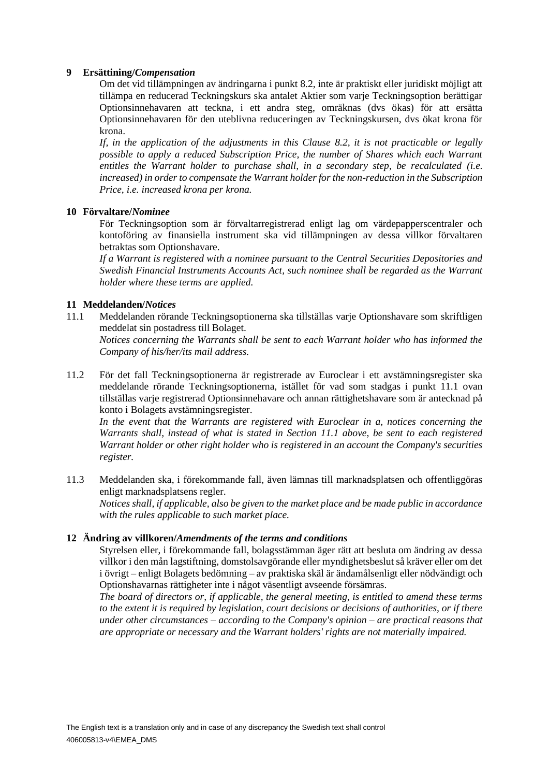#### **9 Ersättining/***Compensation*

Om det vid tillämpningen av ändringarna i punkt [8.2,](#page-9-0) inte är praktiskt eller juridiskt möjligt att tillämpa en reducerad Teckningskurs ska antalet Aktier som varje Teckningsoption berättigar Optionsinnehavaren att teckna, i ett andra steg, omräknas (dvs ökas) för att ersätta Optionsinnehavaren för den uteblivna reduceringen av Teckningskursen, dvs ökat krona för krona.

*If, in the application of the adjustments in this Clause [8.2,](#page-9-0) it is not practicable or legally possible to apply a reduced Subscription Price, the number of Shares which each Warrant entitles the Warrant holder to purchase shall, in a secondary step, be recalculated (i.e. increased) in order to compensate the Warrant holder for the non-reduction in the Subscription Price, i.e. increased krona per krona.*

#### **10 Förvaltare/***Nominee*

För Teckningsoption som är förvaltarregistrerad enligt lag om värdepapperscentraler och kontoföring av finansiella instrument ska vid tillämpningen av dessa villkor förvaltaren betraktas som Optionshavare.

*If a Warrant is registered with a nominee pursuant to the Central Securities Depositories and Swedish Financial Instruments Accounts Act, such nominee shall be regarded as the Warrant holder where these terms are applied.*

#### **11 Meddelanden/***Notices*

<span id="page-25-0"></span>11.1 Meddelanden rörande Teckningsoptionerna ska tillställas varje Optionshavare som skriftligen meddelat sin postadress till Bolaget.

*Notices concerning the Warrants shall be sent to each Warrant holder who has informed the Company of his/her/its mail address.*

11.2 För det fall Teckningsoptionerna är registrerade av Euroclear i ett avstämningsregister ska meddelande rörande Teckningsoptionerna, istället för vad som stadgas i punkt [11.1](#page-25-0) ovan tillställas varje registrerad Optionsinnehavare och annan rättighetshavare som är antecknad på konto i Bolagets avstämningsregister.

*In the event that the Warrants are registered with Euroclear in a, notices concerning the Warrants shall, instead of what is stated in Section [11.1](#page-25-0) above, be sent to each registered Warrant holder or other right holder who is registered in an account the Company's securities register.*

11.3 Meddelanden ska, i förekommande fall, även lämnas till marknadsplatsen och offentliggöras enligt marknadsplatsens regler.

*Notices shall, if applicable, also be given to the market place and be made public in accordance with the rules applicable to such market place.*

#### **12 Ändring av villkoren/***Amendments of the terms and conditions*

Styrelsen eller, i förekommande fall, bolagsstämman äger rätt att besluta om ändring av dessa villkor i den mån lagstiftning, domstolsavgörande eller myndighetsbeslut så kräver eller om det i övrigt – enligt Bolagets bedömning – av praktiska skäl är ändamålsenligt eller nödvändigt och Optionshavarnas rättigheter inte i något väsentligt avseende försämras.

*The board of directors or, if applicable, the general meeting, is entitled to amend these terms to the extent it is required by legislation, court decisions or decisions of authorities, or if there under other circumstances – according to the Company's opinion – are practical reasons that are appropriate or necessary and the Warrant holders' rights are not materially impaired.*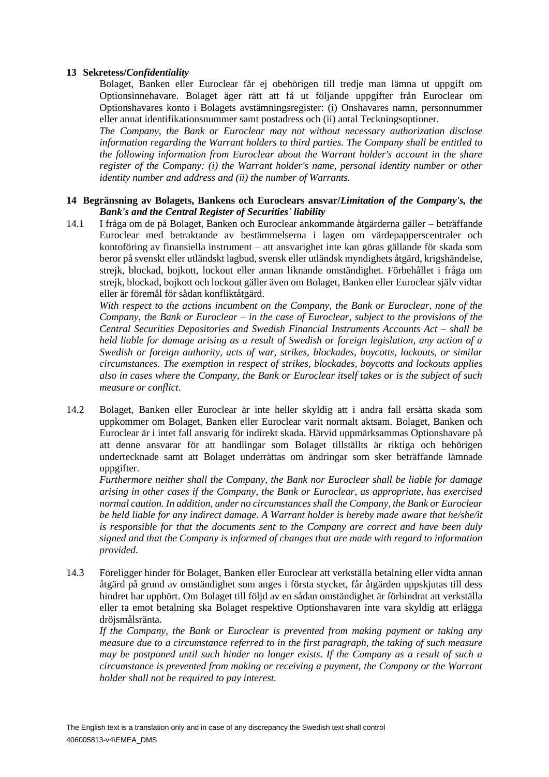#### **13 Sekretess/***Confidentiality*

Bolaget, Banken eller Euroclear får ej obehörigen till tredje man lämna ut uppgift om Optionsinnehavare. Bolaget äger rätt att få ut följande uppgifter från Euroclear om Optionshavares konto i Bolagets avstämningsregister: (i) Onshavares namn, personnummer eller annat identifikationsnummer samt postadress och (ii) antal Teckningsoptioner.

*The Company, the Bank or Euroclear may not without necessary authorization disclose information regarding the Warrant holders to third parties. The Company shall be entitled to the following information from Euroclear about the Warrant holder's account in the share register of the Company: (i) the Warrant holder's name, personal identity number or other identity number and address and (ii) the number of Warrants.*

#### **14 Begränsning av Bolagets, Bankens och Euroclears ansvar/***Limitation of the Company's, the Bank's and the Central Register of Securities' liability*

14.1 I fråga om de på Bolaget, Banken och Euroclear ankommande åtgärderna gäller – beträffande Euroclear med betraktande av bestämmelserna i lagen om värdepapperscentraler och kontoföring av finansiella instrument – att ansvarighet inte kan göras gällande för skada som beror på svenskt eller utländskt lagbud, svensk eller utländsk myndighets åtgärd, krigshändelse, strejk, blockad, bojkott, lockout eller annan liknande omständighet. Förbehållet i fråga om strejk, blockad, bojkott och lockout gäller även om Bolaget, Banken eller Euroclear själv vidtar eller är föremål för sådan konfliktåtgärd.

*With respect to the actions incumbent on the Company, the Bank or Euroclear, none of the Company, the Bank or Euroclear – in the case of Euroclear, subject to the provisions of the Central Securities Depositories and Swedish Financial Instruments Accounts Act – shall be held liable for damage arising as a result of Swedish or foreign legislation, any action of a Swedish or foreign authority, acts of war, strikes, blockades, boycotts, lockouts, or similar circumstances. The exemption in respect of strikes, blockades, boycotts and lockouts applies also in cases where the Company, the Bank or Euroclear itself takes or is the subject of such measure or conflict.*

14.2 Bolaget, Banken eller Euroclear är inte heller skyldig att i andra fall ersätta skada som uppkommer om Bolaget, Banken eller Euroclear varit normalt aktsam. Bolaget, Banken och Euroclear är i intet fall ansvarig för indirekt skada. Härvid uppmärksammas Optionshavare på att denne ansvarar för att handlingar som Bolaget tillställts är riktiga och behörigen undertecknade samt att Bolaget underrättas om ändringar som sker beträffande lämnade uppgifter.

*Furthermore neither shall the Company, the Bank nor Euroclear shall be liable for damage arising in other cases if the Company, the Bank or Euroclear, as appropriate, has exercised normal caution. In addition, under no circumstances shall the Company, the Bank or Euroclear be held liable for any indirect damage. A Warrant holder is hereby made aware that he/she/it is responsible for that the documents sent to the Company are correct and have been duly signed and that the Company is informed of changes that are made with regard to information provided.*

14.3 Föreligger hinder för Bolaget, Banken eller Euroclear att verkställa betalning eller vidta annan åtgärd på grund av omständighet som anges i första stycket, får åtgärden uppskjutas till dess hindret har upphört. Om Bolaget till följd av en sådan omständighet är förhindrat att verkställa eller ta emot betalning ska Bolaget respektive Optionshavaren inte vara skyldig att erlägga dröjsmålsränta.

*If the Company, the Bank or Euroclear is prevented from making payment or taking any measure due to a circumstance referred to in the first paragraph, the taking of such measure may be postponed until such hinder no longer exists. If the Company as a result of such a circumstance is prevented from making or receiving a payment, the Company or the Warrant holder shall not be required to pay interest.*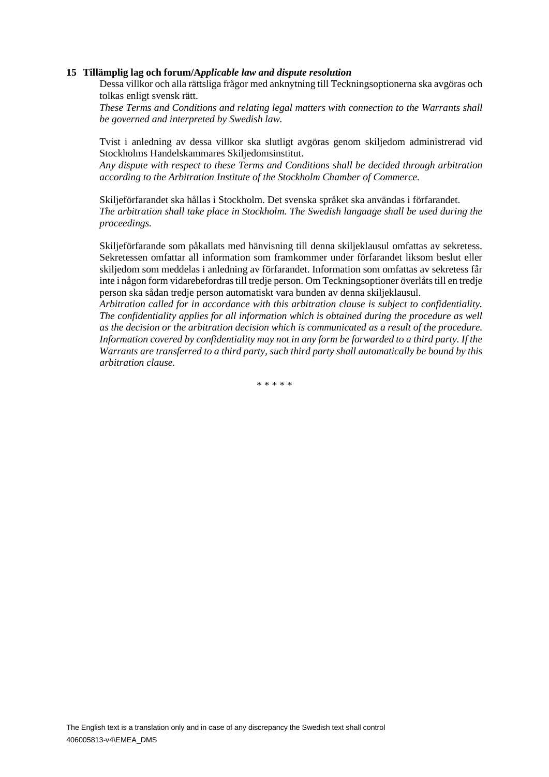#### **15 Tillämplig lag och forum/A***pplicable law and dispute resolution*

Dessa villkor och alla rättsliga frågor med anknytning till Teckningsoptionerna ska avgöras och tolkas enligt svensk rätt.

*These Terms and Conditions and relating legal matters with connection to the Warrants shall be governed and interpreted by Swedish law.*

Tvist i anledning av dessa villkor ska slutligt avgöras genom skiljedom administrerad vid Stockholms Handelskammares Skiljedomsinstitut.

*Any dispute with respect to these Terms and Conditions shall be decided through arbitration according to the Arbitration Institute of the Stockholm Chamber of Commerce.*

Skiljeförfarandet ska hållas i Stockholm. Det svenska språket ska användas i förfarandet. *The arbitration shall take place in Stockholm. The Swedish language shall be used during the proceedings.*

Skiljeförfarande som påkallats med hänvisning till denna skiljeklausul omfattas av sekretess. Sekretessen omfattar all information som framkommer under förfarandet liksom beslut eller skiljedom som meddelas i anledning av förfarandet. Information som omfattas av sekretess får inte i någon form vidarebefordras till tredje person. Om Teckningsoptioner överlåts till en tredje person ska sådan tredje person automatiskt vara bunden av denna skiljeklausul.

*Arbitration called for in accordance with this arbitration clause is subject to confidentiality. The confidentiality applies for all information which is obtained during the procedure as well as the decision or the arbitration decision which is communicated as a result of the procedure. Information covered by confidentiality may not in any form be forwarded to a third party. If the Warrants are transferred to a third party, such third party shall automatically be bound by this arbitration clause.*

\* \* \* \* \*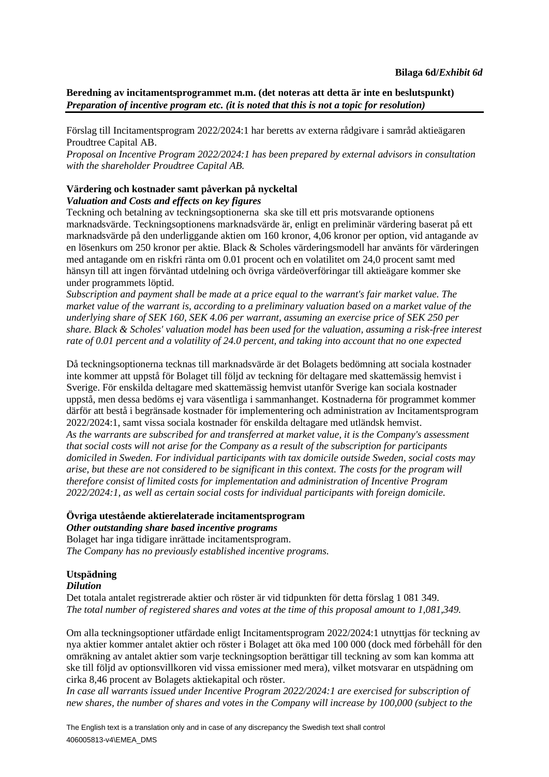## **Beredning av incitamentsprogrammet m.m. (det noteras att detta är inte en beslutspunkt)** *Preparation of incentive program etc. (it is noted that this is not a topic for resolution)*

Förslag till Incitamentsprogram 2022/2024:1 har beretts av externa rådgivare i samråd aktieägaren Proudtree Capital AB.

*Proposal on Incentive Program 2022/2024:1 has been prepared by external advisors in consultation with the shareholder Proudtree Capital AB.*

# **Värdering och kostnader samt påverkan på nyckeltal**

## *Valuation and Costs and effects on key figures*

Teckning och betalning av teckningsoptionerna ska ske till ett pris motsvarande optionens marknadsvärde. Teckningsoptionens marknadsvärde är, enligt en preliminär värdering baserat på ett marknadsvärde på den underliggande aktien om 160 kronor, 4,06 kronor per option, vid antagande av en lösenkurs om 250 kronor per aktie. Black & Scholes värderingsmodell har använts för värderingen med antagande om en riskfri ränta om 0.01 procent och en volatilitet om 24,0 procent samt med hänsyn till att ingen förväntad utdelning och övriga värdeöverföringar till aktieägare kommer ske under programmets löptid.

*Subscription and payment shall be made at a price equal to the warrant's fair market value. The market value of the warrant is, according to a preliminary valuation based on a market value of the underlying share of SEK 160, SEK 4.06 per warrant, assuming an exercise price of SEK 250 per share. Black & Scholes' valuation model has been used for the valuation, assuming a risk-free interest rate of 0.01 percent and a volatility of 24.0 percent, and taking into account that no one expected*

Då teckningsoptionerna tecknas till marknadsvärde är det Bolagets bedömning att sociala kostnader inte kommer att uppstå för Bolaget till följd av teckning för deltagare med skattemässig hemvist i Sverige. För enskilda deltagare med skattemässig hemvist utanför Sverige kan sociala kostnader uppstå, men dessa bedöms ej vara väsentliga i sammanhanget. Kostnaderna för programmet kommer därför att bestå i begränsade kostnader för implementering och administration av Incitamentsprogram 2022/2024:1, samt vissa sociala kostnader för enskilda deltagare med utländsk hemvist. *As the warrants are subscribed for and transferred at market value, it is the Company's assessment that social costs will not arise for the Company as a result of the subscription for participants domiciled in Sweden. For individual participants with tax domicile outside Sweden, social costs may arise, but these are not considered to be significant in this context. The costs for the program will therefore consist of limited costs for implementation and administration of Incentive Program 2022/2024:1, as well as certain social costs for individual participants with foreign domicile.*

# **Övriga utestående aktierelaterade incitamentsprogram**

*Other outstanding share based incentive programs* Bolaget har inga tidigare inrättade incitamentsprogram. *The Company has no previously established incentive programs.*

## **Utspädning**

#### *Dilution*

Det totala antalet registrerade aktier och röster är vid tidpunkten för detta förslag 1 081 349. *The total number of registered shares and votes at the time of this proposal amount to 1,081,349.*

Om alla teckningsoptioner utfärdade enligt Incitamentsprogram 2022/2024:1 utnyttjas för teckning av nya aktier kommer antalet aktier och röster i Bolaget att öka med 100 000 (dock med förbehåll för den omräkning av antalet aktier som varje teckningsoption berättigar till teckning av som kan komma att ske till följd av optionsvillkoren vid vissa emissioner med mera), vilket motsvarar en utspädning om cirka 8,46 procent av Bolagets aktiekapital och röster.

*In case all warrants issued under Incentive Program 2022/2024:1 are exercised for subscription of new shares, the number of shares and votes in the Company will increase by 100,000 (subject to the*